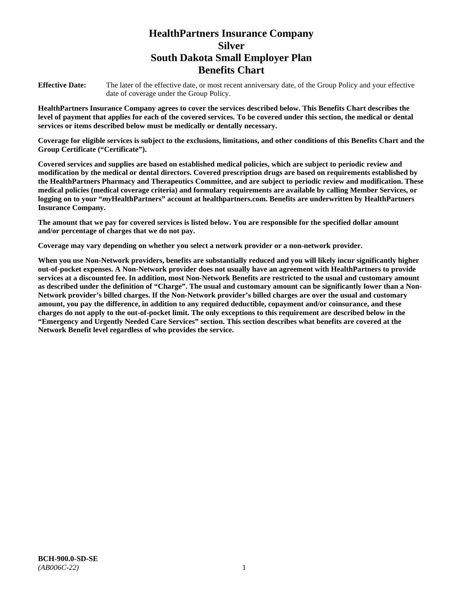# **HealthPartners Insurance Company Silver South Dakota Small Employer Plan Benefits Chart**

**Effective Date:** The later of the effective date, or most recent anniversary date, of the Group Policy and your effective date of coverage under the Group Policy.

**HealthPartners Insurance Company agrees to cover the services described below. This Benefits Chart describes the level of payment that applies for each of the covered services. To be covered under this section, the medical or dental services or items described below must be medically or dentally necessary.**

**Coverage for eligible services is subject to the exclusions, limitations, and other conditions of this Benefits Chart and the Group Certificate ("Certificate").**

**Covered services and supplies are based on established medical policies, which are subject to periodic review and modification by the medical or dental directors. Covered prescription drugs are based on requirements established by the HealthPartners Pharmacy and Therapeutics Committee, and are subject to periodic review and modification. These medical policies (medical coverage criteria) and formulary requirements are available by calling Member Services, or logging on to your "***my***HealthPartners" account at [healthpartners.com.](file://isntmacsrv0/www.healthpartners.com) Benefits are underwritten by HealthPartners Insurance Company.**

**The amount that we pay for covered services is listed below. You are responsible for the specified dollar amount and/or percentage of charges that we do not pay.**

**Coverage may vary depending on whether you select a network provider or a non-network provider.**

**When you use Non-Network providers, benefits are substantially reduced and you will likely incur significantly higher out-of-pocket expenses. A Non-Network provider does not usually have an agreement with HealthPartners to provide services at a discounted fee. In addition, most Non-Network Benefits are restricted to the usual and customary amount as described under the definition of "Charge". The usual and customary amount can be significantly lower than a Non-Network provider's billed charges. If the Non-Network provider's billed charges are over the usual and customary amount, you pay the difference, in addition to any required deductible, copayment and/or coinsurance, and these charges do not apply to the out-of-pocket limit. The only exceptions to this requirement are described below in the "Emergency and Urgently Needed Care Services" section. This section describes what benefits are covered at the Network Benefit level regardless of who provides the service.**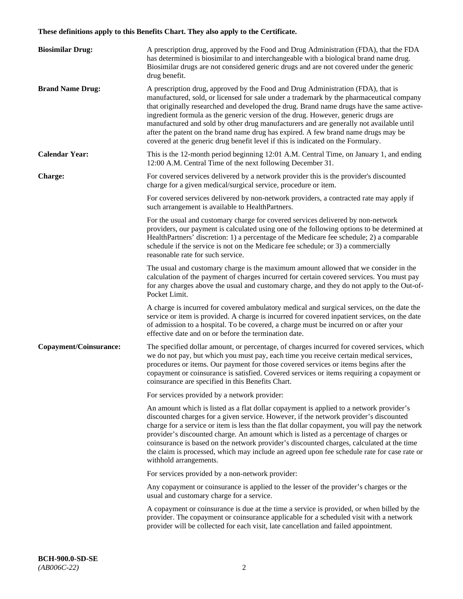# **These definitions apply to this Benefits Chart. They also apply to the Certificate.**

| <b>Biosimilar Drug:</b> | A prescription drug, approved by the Food and Drug Administration (FDA), that the FDA<br>has determined is biosimilar to and interchangeable with a biological brand name drug.<br>Biosimilar drugs are not considered generic drugs and are not covered under the generic<br>drug benefit.                                                                                                                                                                                                                                                                                                                                         |
|-------------------------|-------------------------------------------------------------------------------------------------------------------------------------------------------------------------------------------------------------------------------------------------------------------------------------------------------------------------------------------------------------------------------------------------------------------------------------------------------------------------------------------------------------------------------------------------------------------------------------------------------------------------------------|
| <b>Brand Name Drug:</b> | A prescription drug, approved by the Food and Drug Administration (FDA), that is<br>manufactured, sold, or licensed for sale under a trademark by the pharmaceutical company<br>that originally researched and developed the drug. Brand name drugs have the same active-<br>ingredient formula as the generic version of the drug. However, generic drugs are<br>manufactured and sold by other drug manufacturers and are generally not available until<br>after the patent on the brand name drug has expired. A few brand name drugs may be<br>covered at the generic drug benefit level if this is indicated on the Formulary. |
| <b>Calendar Year:</b>   | This is the 12-month period beginning 12:01 A.M. Central Time, on January 1, and ending<br>12:00 A.M. Central Time of the next following December 31.                                                                                                                                                                                                                                                                                                                                                                                                                                                                               |
| <b>Charge:</b>          | For covered services delivered by a network provider this is the provider's discounted<br>charge for a given medical/surgical service, procedure or item.                                                                                                                                                                                                                                                                                                                                                                                                                                                                           |
|                         | For covered services delivered by non-network providers, a contracted rate may apply if<br>such arrangement is available to HealthPartners.                                                                                                                                                                                                                                                                                                                                                                                                                                                                                         |
|                         | For the usual and customary charge for covered services delivered by non-network<br>providers, our payment is calculated using one of the following options to be determined at<br>HealthPartners' discretion: 1) a percentage of the Medicare fee schedule; 2) a comparable<br>schedule if the service is not on the Medicare fee schedule; or 3) a commercially<br>reasonable rate for such service.                                                                                                                                                                                                                              |
|                         | The usual and customary charge is the maximum amount allowed that we consider in the<br>calculation of the payment of charges incurred for certain covered services. You must pay<br>for any charges above the usual and customary charge, and they do not apply to the Out-of-<br>Pocket Limit.                                                                                                                                                                                                                                                                                                                                    |
|                         | A charge is incurred for covered ambulatory medical and surgical services, on the date the<br>service or item is provided. A charge is incurred for covered inpatient services, on the date<br>of admission to a hospital. To be covered, a charge must be incurred on or after your<br>effective date and on or before the termination date.                                                                                                                                                                                                                                                                                       |
| Copayment/Coinsurance:  | The specified dollar amount, or percentage, of charges incurred for covered services, which<br>we do not pay, but which you must pay, each time you receive certain medical services,<br>procedures or items. Our payment for those covered services or items begins after the<br>copayment or coinsurance is satisfied. Covered services or items requiring a copayment or<br>coinsurance are specified in this Benefits Chart.                                                                                                                                                                                                    |
|                         | For services provided by a network provider:                                                                                                                                                                                                                                                                                                                                                                                                                                                                                                                                                                                        |
|                         | An amount which is listed as a flat dollar copayment is applied to a network provider's<br>discounted charges for a given service. However, if the network provider's discounted<br>charge for a service or item is less than the flat dollar copayment, you will pay the network<br>provider's discounted charge. An amount which is listed as a percentage of charges or<br>coinsurance is based on the network provider's discounted charges, calculated at the time<br>the claim is processed, which may include an agreed upon fee schedule rate for case rate or<br>withhold arrangements.                                    |
|                         | For services provided by a non-network provider:                                                                                                                                                                                                                                                                                                                                                                                                                                                                                                                                                                                    |
|                         | Any copayment or coinsurance is applied to the lesser of the provider's charges or the<br>usual and customary charge for a service.                                                                                                                                                                                                                                                                                                                                                                                                                                                                                                 |
|                         | A copayment or coinsurance is due at the time a service is provided, or when billed by the<br>provider. The copayment or coinsurance applicable for a scheduled visit with a network<br>provider will be collected for each visit, late cancellation and failed appointment.                                                                                                                                                                                                                                                                                                                                                        |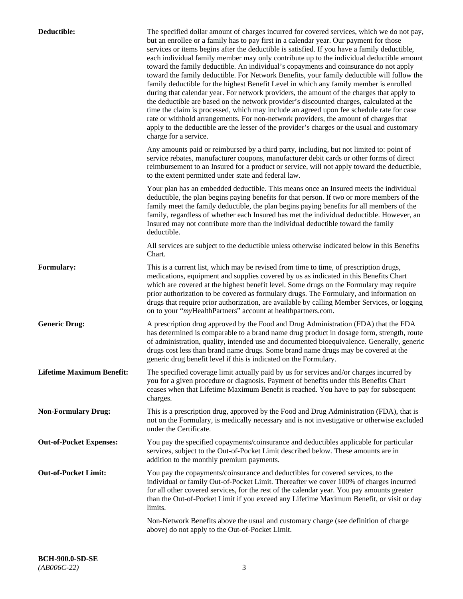| Deductible:                      | The specified dollar amount of charges incurred for covered services, which we do not pay,<br>but an enrollee or a family has to pay first in a calendar year. Our payment for those<br>services or items begins after the deductible is satisfied. If you have a family deductible,<br>each individual family member may only contribute up to the individual deductible amount<br>toward the family deductible. An individual's copayments and coinsurance do not apply<br>toward the family deductible. For Network Benefits, your family deductible will follow the<br>family deductible for the highest Benefit Level in which any family member is enrolled<br>during that calendar year. For network providers, the amount of the charges that apply to<br>the deductible are based on the network provider's discounted charges, calculated at the<br>time the claim is processed, which may include an agreed upon fee schedule rate for case<br>rate or withhold arrangements. For non-network providers, the amount of charges that<br>apply to the deductible are the lesser of the provider's charges or the usual and customary<br>charge for a service. |
|----------------------------------|------------------------------------------------------------------------------------------------------------------------------------------------------------------------------------------------------------------------------------------------------------------------------------------------------------------------------------------------------------------------------------------------------------------------------------------------------------------------------------------------------------------------------------------------------------------------------------------------------------------------------------------------------------------------------------------------------------------------------------------------------------------------------------------------------------------------------------------------------------------------------------------------------------------------------------------------------------------------------------------------------------------------------------------------------------------------------------------------------------------------------------------------------------------------|
|                                  | Any amounts paid or reimbursed by a third party, including, but not limited to: point of<br>service rebates, manufacturer coupons, manufacturer debit cards or other forms of direct<br>reimbursement to an Insured for a product or service, will not apply toward the deductible,<br>to the extent permitted under state and federal law.                                                                                                                                                                                                                                                                                                                                                                                                                                                                                                                                                                                                                                                                                                                                                                                                                            |
|                                  | Your plan has an embedded deductible. This means once an Insured meets the individual<br>deductible, the plan begins paying benefits for that person. If two or more members of the<br>family meet the family deductible, the plan begins paying benefits for all members of the<br>family, regardless of whether each Insured has met the individual deductible. However, an<br>Insured may not contribute more than the individual deductible toward the family<br>deductible.                                                                                                                                                                                                                                                                                                                                                                                                                                                                                                                                                                                                                                                                                       |
|                                  | All services are subject to the deductible unless otherwise indicated below in this Benefits<br>Chart.                                                                                                                                                                                                                                                                                                                                                                                                                                                                                                                                                                                                                                                                                                                                                                                                                                                                                                                                                                                                                                                                 |
| <b>Formulary:</b>                | This is a current list, which may be revised from time to time, of prescription drugs,<br>medications, equipment and supplies covered by us as indicated in this Benefits Chart<br>which are covered at the highest benefit level. Some drugs on the Formulary may require<br>prior authorization to be covered as formulary drugs. The Formulary, and information on<br>drugs that require prior authorization, are available by calling Member Services, or logging<br>on to your "myHealthPartners" account at healthpartners.com.                                                                                                                                                                                                                                                                                                                                                                                                                                                                                                                                                                                                                                  |
| <b>Generic Drug:</b>             | A prescription drug approved by the Food and Drug Administration (FDA) that the FDA<br>has determined is comparable to a brand name drug product in dosage form, strength, route<br>of administration, quality, intended use and documented bioequivalence. Generally, generic<br>drugs cost less than brand name drugs. Some brand name drugs may be covered at the<br>generic drug benefit level if this is indicated on the Formulary.                                                                                                                                                                                                                                                                                                                                                                                                                                                                                                                                                                                                                                                                                                                              |
| <b>Lifetime Maximum Benefit:</b> | The specified coverage limit actually paid by us for services and/or charges incurred by<br>you for a given procedure or diagnosis. Payment of benefits under this Benefits Chart<br>ceases when that Lifetime Maximum Benefit is reached. You have to pay for subsequent<br>charges.                                                                                                                                                                                                                                                                                                                                                                                                                                                                                                                                                                                                                                                                                                                                                                                                                                                                                  |
| <b>Non-Formulary Drug:</b>       | This is a prescription drug, approved by the Food and Drug Administration (FDA), that is<br>not on the Formulary, is medically necessary and is not investigative or otherwise excluded<br>under the Certificate.                                                                                                                                                                                                                                                                                                                                                                                                                                                                                                                                                                                                                                                                                                                                                                                                                                                                                                                                                      |
| <b>Out-of-Pocket Expenses:</b>   | You pay the specified copayments/coinsurance and deductibles applicable for particular<br>services, subject to the Out-of-Pocket Limit described below. These amounts are in<br>addition to the monthly premium payments.                                                                                                                                                                                                                                                                                                                                                                                                                                                                                                                                                                                                                                                                                                                                                                                                                                                                                                                                              |
| <b>Out-of-Pocket Limit:</b>      | You pay the copayments/coinsurance and deductibles for covered services, to the<br>individual or family Out-of-Pocket Limit. Thereafter we cover 100% of charges incurred<br>for all other covered services, for the rest of the calendar year. You pay amounts greater<br>than the Out-of-Pocket Limit if you exceed any Lifetime Maximum Benefit, or visit or day<br>limits.                                                                                                                                                                                                                                                                                                                                                                                                                                                                                                                                                                                                                                                                                                                                                                                         |
|                                  | Non-Network Benefits above the usual and customary charge (see definition of charge<br>above) do not apply to the Out-of-Pocket Limit.                                                                                                                                                                                                                                                                                                                                                                                                                                                                                                                                                                                                                                                                                                                                                                                                                                                                                                                                                                                                                                 |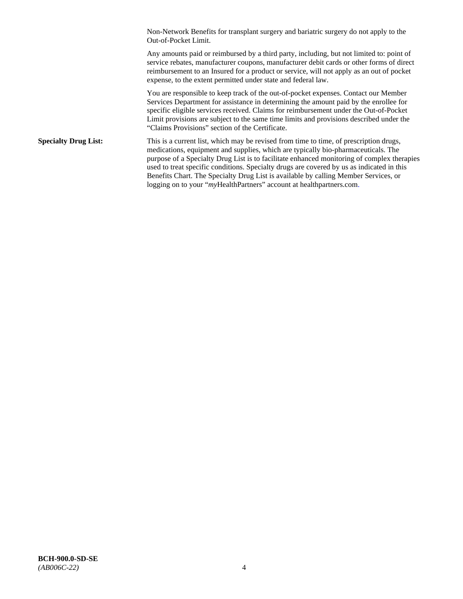Non-Network Benefits for transplant surgery and bariatric surgery do not apply to the Out-of-Pocket Limit.

Any amounts paid or reimbursed by a third party, including, but not limited to: point of service rebates, manufacturer coupons, manufacturer debit cards or other forms of direct reimbursement to an Insured for a product or service, will not apply as an out of pocket expense, to the extent permitted under state and federal law.

You are responsible to keep track of the out-of-pocket expenses. Contact our Member Services Department for assistance in determining the amount paid by the enrollee for specific eligible services received. Claims for reimbursement under the Out-of-Pocket Limit provisions are subject to the same time limits and provisions described under the "Claims Provisions" section of the Certificate.

**Specialty Drug List:** This is a current list, which may be revised from time to time, of prescription drugs, medications, equipment and supplies, which are typically bio-pharmaceuticals. The purpose of a Specialty Drug List is to facilitate enhanced monitoring of complex therapies used to treat specific conditions. Specialty drugs are covered by us as indicated in this Benefits Chart. The Specialty Drug List is available by calling Member Services, or logging on to your "myHealthPartners" account at [healthpartners.com.](http://healthpartners.com/)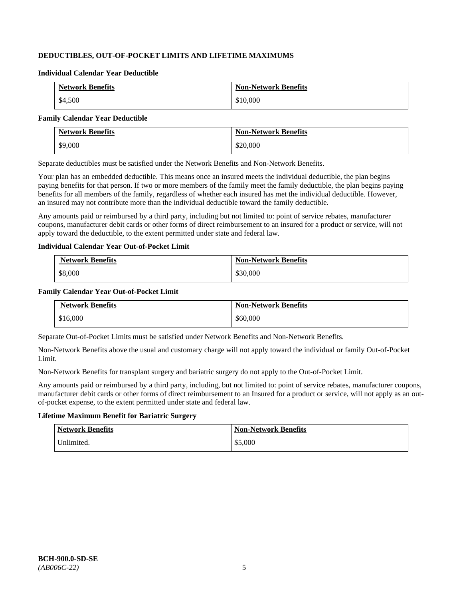# **DEDUCTIBLES, OUT-OF-POCKET LIMITS AND LIFETIME MAXIMUMS**

#### **Individual Calendar Year Deductible**

| <b>Network Benefits</b> | <b>Non-Network Benefits</b> |
|-------------------------|-----------------------------|
| \$4,500                 | \$10,000                    |

#### **Family Calendar Year Deductible**

| <b>Network Benefits</b> | <b>Non-Network Benefits</b> |
|-------------------------|-----------------------------|
| \$9,000                 | \$20,000                    |

Separate deductibles must be satisfied under the Network Benefits and Non-Network Benefits.

Your plan has an embedded deductible. This means once an insured meets the individual deductible, the plan begins paying benefits for that person. If two or more members of the family meet the family deductible, the plan begins paying benefits for all members of the family, regardless of whether each insured has met the individual deductible. However, an insured may not contribute more than the individual deductible toward the family deductible.

Any amounts paid or reimbursed by a third party, including but not limited to: point of service rebates, manufacturer coupons, manufacturer debit cards or other forms of direct reimbursement to an insured for a product or service, will not apply toward the deductible, to the extent permitted under state and federal law.

#### **Individual Calendar Year Out-of-Pocket Limit**

| <b>Network Benefits</b> | <b>Non-Network Benefits</b> |
|-------------------------|-----------------------------|
| \$8,000                 | \$30,000                    |

### **Family Calendar Year Out-of-Pocket Limit**

| <b>Network Benefits</b> | <b>Non-Network Benefits</b> |
|-------------------------|-----------------------------|
| \$16,000                | \$60,000                    |

Separate Out-of-Pocket Limits must be satisfied under Network Benefits and Non-Network Benefits.

Non-Network Benefits above the usual and customary charge will not apply toward the individual or family Out-of-Pocket Limit.

Non-Network Benefits for transplant surgery and bariatric surgery do not apply to the Out-of-Pocket Limit.

Any amounts paid or reimbursed by a third party, including, but not limited to: point of service rebates, manufacturer coupons, manufacturer debit cards or other forms of direct reimbursement to an Insured for a product or service, will not apply as an outof-pocket expense, to the extent permitted under state and federal law.

# **Lifetime Maximum Benefit for Bariatric Surgery**

| <b>Network Benefits</b> | <b>Non-Network Benefits</b> |
|-------------------------|-----------------------------|
| Unlimited.              | \$5,000                     |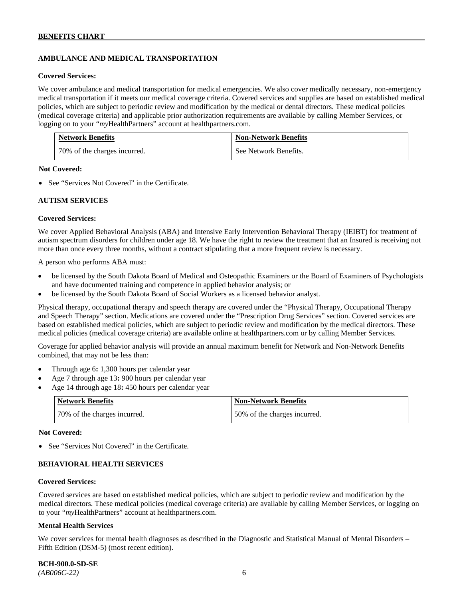# **AMBULANCE AND MEDICAL TRANSPORTATION**

#### **Covered Services:**

We cover ambulance and medical transportation for medical emergencies. We also cover medically necessary, non-emergency medical transportation if it meets our medical coverage criteria. Covered services and supplies are based on established medical policies, which are subject to periodic review and modification by the medical or dental directors. These medical policies (medical coverage criteria) and applicable prior authorization requirements are available by calling Member Services, or logging on to your "*my*HealthPartners" account at [healthpartners.com.](http://healthpartners.com/)

| <b>Network Benefits</b>      | <b>Non-Network Benefits</b> |
|------------------------------|-----------------------------|
| 70% of the charges incurred. | See Network Benefits.       |

#### **Not Covered:**

• See "Services Not Covered" in the Certificate.

#### **AUTISM SERVICES**

#### **Covered Services:**

We cover Applied Behavioral Analysis (ABA) and Intensive Early Intervention Behavioral Therapy (IEIBT) for treatment of autism spectrum disorders for children under age 18. We have the right to review the treatment that an Insured is receiving not more than once every three months, without a contract stipulating that a more frequent review is necessary.

A person who performs ABA must:

- be licensed by the South Dakota Board of Medical and Osteopathic Examiners or the Board of Examiners of Psychologists and have documented training and competence in applied behavior analysis; or
- be licensed by the South Dakota Board of Social Workers as a licensed behavior analyst.

Physical therapy, occupational therapy and speech therapy are covered under the "Physical Therapy, Occupational Therapy and Speech Therapy" section. Medications are covered under the "Prescription Drug Services" section. Covered services are based on established medical policies, which are subject to periodic review and modification by the medical directors. These medical policies (medical coverage criteria) are available online at [healthpartners.com](http://healthpartners.com/) or by calling Member Services.

Coverage for applied behavior analysis will provide an annual maximum benefit for Network and Non-Network Benefits combined, that may not be less than:

- Through age 6**:** 1,300 hours per calendar year
- Age 7 through age 13**:** 900 hours per calendar year
- Age 14 through age 18**:** 450 hours per calendar year

| Network Benefits             | <b>Non-Network Benefits</b>  |
|------------------------------|------------------------------|
| 70% of the charges incurred. | 50% of the charges incurred. |

#### **Not Covered:**

• See "Services Not Covered" in the Certificate.

### **BEHAVIORAL HEALTH SERVICES**

#### **Covered Services:**

Covered services are based on established medical policies, which are subject to periodic review and modification by the medical directors. These medical policies (medical coverage criteria) are available by calling Member Services, or logging on to your "*my*HealthPartners" account at [healthpartners.com.](http://healthpartners.com/)

#### **Mental Health Services**

We cover services for mental health diagnoses as described in the Diagnostic and Statistical Manual of Mental Disorders – Fifth Edition (DSM-5) (most recent edition).

**BCH-900.0-SD-SE**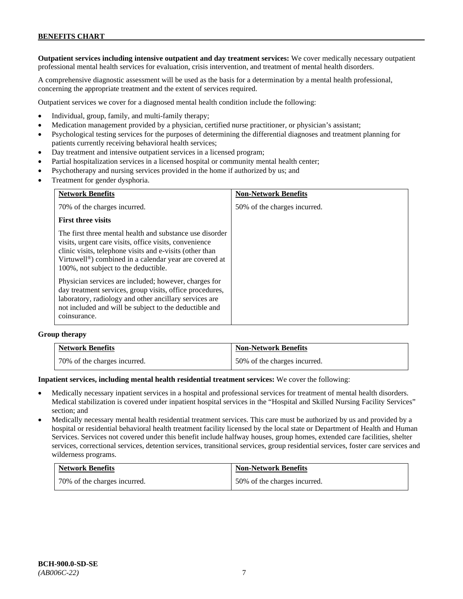**Outpatient services including intensive outpatient and day treatment services:** We cover medically necessary outpatient professional mental health services for evaluation, crisis intervention, and treatment of mental health disorders.

A comprehensive diagnostic assessment will be used as the basis for a determination by a mental health professional, concerning the appropriate treatment and the extent of services required.

Outpatient services we cover for a diagnosed mental health condition include the following:

- Individual, group, family, and multi-family therapy;
- Medication management provided by a physician, certified nurse practitioner, or physician's assistant;
- Psychological testing services for the purposes of determining the differential diagnoses and treatment planning for patients currently receiving behavioral health services;
- Day treatment and intensive outpatient services in a licensed program;
- Partial hospitalization services in a licensed hospital or community mental health center;
- Psychotherapy and nursing services provided in the home if authorized by us; and
- Treatment for gender dysphoria.

| <b>Network Benefits</b>                                                                                                                                                                                                                                                                       | <b>Non-Network Benefits</b>  |
|-----------------------------------------------------------------------------------------------------------------------------------------------------------------------------------------------------------------------------------------------------------------------------------------------|------------------------------|
| 70% of the charges incurred.                                                                                                                                                                                                                                                                  | 50% of the charges incurred. |
| <b>First three visits</b>                                                                                                                                                                                                                                                                     |                              |
| The first three mental health and substance use disorder<br>visits, urgent care visits, office visits, convenience<br>clinic visits, telephone visits and e-visits (other than<br>Virtuwell <sup>®</sup> ) combined in a calendar year are covered at<br>100%, not subject to the deductible. |                              |
| Physician services are included; however, charges for<br>day treatment services, group visits, office procedures,<br>laboratory, radiology and other ancillary services are<br>not included and will be subject to the deductible and<br>coinsurance.                                         |                              |

#### **Group therapy**

| <b>Network Benefits</b>      | <b>Non-Network Benefits</b>  |
|------------------------------|------------------------------|
| 70% of the charges incurred. | 50% of the charges incurred. |

#### **Inpatient services, including mental health residential treatment services:** We cover the following:

- Medically necessary inpatient services in a hospital and professional services for treatment of mental health disorders. Medical stabilization is covered under inpatient hospital services in the "Hospital and Skilled Nursing Facility Services" section; and
- Medically necessary mental health residential treatment services. This care must be authorized by us and provided by a hospital or residential behavioral health treatment facility licensed by the local state or Department of Health and Human Services. Services not covered under this benefit include halfway houses, group homes, extended care facilities, shelter services, correctional services, detention services, transitional services, group residential services, foster care services and wilderness programs.

| <b>Network Benefits</b>      | <b>Non-Network Benefits</b>  |
|------------------------------|------------------------------|
| 70% of the charges incurred. | 50% of the charges incurred. |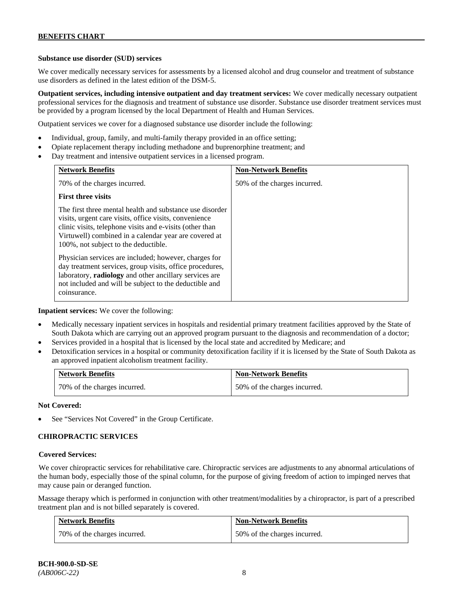#### **Substance use disorder (SUD) services**

We cover medically necessary services for assessments by a licensed alcohol and drug counselor and treatment of substance use disorders as defined in the latest edition of the DSM-5.

**Outpatient services, including intensive outpatient and day treatment services:** We cover medically necessary outpatient professional services for the diagnosis and treatment of substance use disorder. Substance use disorder treatment services must be provided by a program licensed by the local Department of Health and Human Services.

Outpatient services we cover for a diagnosed substance use disorder include the following:

- Individual, group, family, and multi-family therapy provided in an office setting;
- Opiate replacement therapy including methadone and buprenorphine treatment; and
- Day treatment and intensive outpatient services in a licensed program.

| <b>Network Benefits</b>                                                                                                                                                                                                                                                         | <b>Non-Network Benefits</b>  |
|---------------------------------------------------------------------------------------------------------------------------------------------------------------------------------------------------------------------------------------------------------------------------------|------------------------------|
| 70% of the charges incurred.                                                                                                                                                                                                                                                    | 50% of the charges incurred. |
| <b>First three visits</b>                                                                                                                                                                                                                                                       |                              |
| The first three mental health and substance use disorder<br>visits, urgent care visits, office visits, convenience<br>clinic visits, telephone visits and e-visits (other than<br>Virtuwell) combined in a calendar year are covered at<br>100%, not subject to the deductible. |                              |
| Physician services are included; however, charges for<br>day treatment services, group visits, office procedures,<br>laboratory, radiology and other ancillary services are<br>not included and will be subject to the deductible and<br>coinsurance.                           |                              |

**Inpatient services:** We cover the following:

- Medically necessary inpatient services in hospitals and residential primary treatment facilities approved by the State of South Dakota which are carrying out an approved program pursuant to the diagnosis and recommendation of a doctor;
- Services provided in a hospital that is licensed by the local state and accredited by Medicare; and
- Detoxification services in a hospital or community detoxification facility if it is licensed by the State of South Dakota as an approved inpatient alcoholism treatment facility.

| <b>Network Benefits</b>      | <b>Non-Network Benefits</b>  |
|------------------------------|------------------------------|
| 70% of the charges incurred. | 50% of the charges incurred. |

**Not Covered:**

See "Services Not Covered" in the Group Certificate.

### **CHIROPRACTIC SERVICES**

#### **Covered Services:**

We cover chiropractic services for rehabilitative care. Chiropractic services are adjustments to any abnormal articulations of the human body, especially those of the spinal column, for the purpose of giving freedom of action to impinged nerves that may cause pain or deranged function.

Massage therapy which is performed in conjunction with other treatment/modalities by a chiropractor, is part of a prescribed treatment plan and is not billed separately is covered.

| <b>Network Benefits</b>      | <b>Non-Network Benefits</b>  |
|------------------------------|------------------------------|
| 70% of the charges incurred. | 50% of the charges incurred. |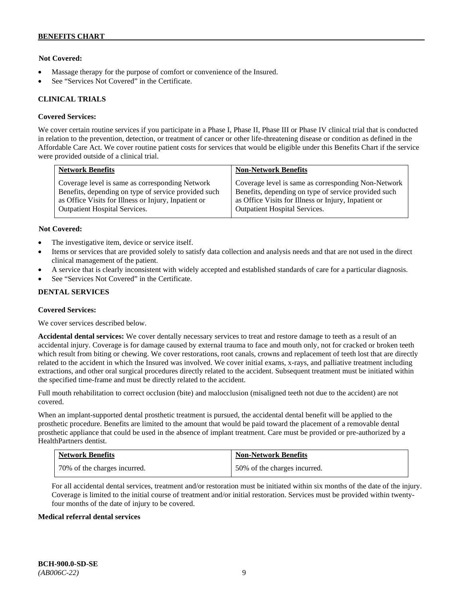### **Not Covered:**

- Massage therapy for the purpose of comfort or convenience of the Insured.
- See "Services Not Covered" in the Certificate.

#### **CLINICAL TRIALS**

#### **Covered Services:**

We cover certain routine services if you participate in a Phase I, Phase II, Phase III or Phase IV clinical trial that is conducted in relation to the prevention, detection, or treatment of cancer or other life-threatening disease or condition as defined in the Affordable Care Act. We cover routine patient costs for services that would be eligible under this Benefits Chart if the service were provided outside of a clinical trial.

| <b>Network Benefits</b>                              | <b>Non-Network Benefits</b>                          |
|------------------------------------------------------|------------------------------------------------------|
| Coverage level is same as corresponding Network      | Coverage level is same as corresponding Non-Network  |
| Benefits, depending on type of service provided such | Benefits, depending on type of service provided such |
| as Office Visits for Illness or Injury, Inpatient or | as Office Visits for Illness or Injury, Inpatient or |
| <b>Outpatient Hospital Services.</b>                 | Outpatient Hospital Services.                        |

#### **Not Covered:**

- The investigative item, device or service itself.
- Items or services that are provided solely to satisfy data collection and analysis needs and that are not used in the direct clinical management of the patient.
- A service that is clearly inconsistent with widely accepted and established standards of care for a particular diagnosis.
- See "Services Not Covered" in the Certificate.

### **DENTAL SERVICES**

#### **Covered Services:**

We cover services described below.

**Accidental dental services:** We cover dentally necessary services to treat and restore damage to teeth as a result of an accidental injury. Coverage is for damage caused by external trauma to face and mouth only, not for cracked or broken teeth which result from biting or chewing. We cover restorations, root canals, crowns and replacement of teeth lost that are directly related to the accident in which the Insured was involved. We cover initial exams, x-rays, and palliative treatment including extractions, and other oral surgical procedures directly related to the accident. Subsequent treatment must be initiated within the specified time-frame and must be directly related to the accident.

Full mouth rehabilitation to correct occlusion (bite) and malocclusion (misaligned teeth not due to the accident) are not covered.

When an implant-supported dental prosthetic treatment is pursued, the accidental dental benefit will be applied to the prosthetic procedure. Benefits are limited to the amount that would be paid toward the placement of a removable dental prosthetic appliance that could be used in the absence of implant treatment. Care must be provided or pre-authorized by a HealthPartners dentist.

| <b>Network Benefits</b>      | <b>Non-Network Benefits</b>  |
|------------------------------|------------------------------|
| 70% of the charges incurred. | 50% of the charges incurred. |

For all accidental dental services, treatment and/or restoration must be initiated within six months of the date of the injury. Coverage is limited to the initial course of treatment and/or initial restoration. Services must be provided within twentyfour months of the date of injury to be covered.

#### **Medical referral dental services**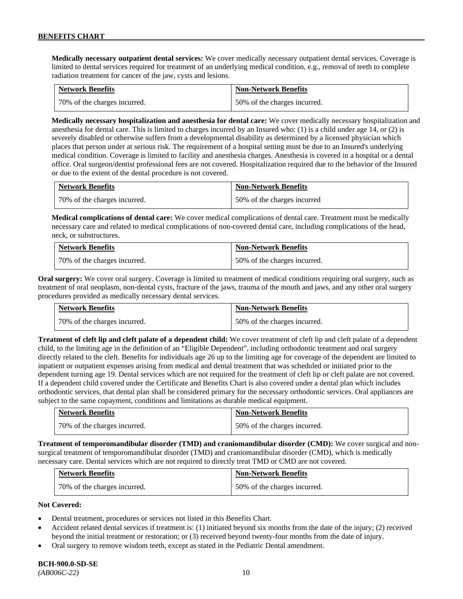**Medically necessary outpatient dental services:** We cover medically necessary outpatient dental services. Coverage is limited to dental services required for treatment of an underlying medical condition, e.g., removal of teeth to complete radiation treatment for cancer of the jaw, cysts and lesions.

| <b>Network Benefits</b>      | <b>Non-Network Benefits</b>  |
|------------------------------|------------------------------|
| 70% of the charges incurred. | 50% of the charges incurred. |

**Medically necessary hospitalization and anesthesia for dental care:** We cover medically necessary hospitalization and anesthesia for dental care. This is limited to charges incurred by an Insured who: (1) is a child under age 14, or (2) is severely disabled or otherwise suffers from a developmental disability as determined by a licensed physician which places that person under at serious risk. The requirement of a hospital setting must be due to an Insured's underlying medical condition. Coverage is limited to facility and anesthesia charges. Anesthesia is covered in a hospital or a dental office. Oral surgeon/dentist professional fees are not covered. Hospitalization required due to the behavior of the Insured or due to the extent of the dental procedure is not covered.

| <b>Network Benefits</b>      | <b>Non-Network Benefits</b> |
|------------------------------|-----------------------------|
| 70% of the charges incurred. | 50% of the charges incurred |

**Medical complications of dental care:** We cover medical complications of dental care. Treatment must be medically necessary care and related to medical complications of non-covered dental care, including complications of the head, neck, or substructures.

| <b>Network Benefits</b>      | <b>Non-Network Benefits</b>  |
|------------------------------|------------------------------|
| 70% of the charges incurred. | 50% of the charges incurred. |

**Oral surgery:** We cover oral surgery. Coverage is limited to treatment of medical conditions requiring oral surgery, such as treatment of oral neoplasm, non-dental cysts, fracture of the jaws, trauma of the mouth and jaws, and any other oral surgery procedures provided as medically necessary dental services.

| <b>Network Benefits</b>      | <b>Non-Network Benefits</b>  |
|------------------------------|------------------------------|
| 70% of the charges incurred. | 50% of the charges incurred. |

**Treatment of cleft lip and cleft palate of a dependent child:** We cover treatment of cleft lip and cleft palate of a dependent child, to the limiting age in the definition of an "Eligible Dependent", including orthodontic treatment and oral surgery directly related to the cleft. Benefits for individuals age 26 up to the limiting age for coverage of the dependent are limited to inpatient or outpatient expenses arising from medical and dental treatment that was scheduled or initiated prior to the dependent turning age 19. Dental services which are not required for the treatment of cleft lip or cleft palate are not covered. If a dependent child covered under the Certificate and Benefits Chart is also covered under a dental plan which includes orthodontic services, that dental plan shall be considered primary for the necessary orthodontic services. Oral appliances are subject to the same copayment, conditions and limitations as durable medical equipment.

| <b>Network Benefits</b>      | <b>Non-Network Benefits</b>  |
|------------------------------|------------------------------|
| 70% of the charges incurred. | 50% of the charges incurred. |

**Treatment of temporomandibular disorder (TMD) and craniomandibular disorder (CMD):** We cover surgical and nonsurgical treatment of temporomandibular disorder (TMD) and craniomandibular disorder (CMD), which is medically necessary care. Dental services which are not required to directly treat TMD or CMD are not covered.

| <b>Network Benefits</b>      | <b>Non-Network Benefits</b>  |
|------------------------------|------------------------------|
| 70% of the charges incurred. | 50% of the charges incurred. |

### **Not Covered:**

- Dental treatment, procedures or services not listed in this Benefits Chart.
- Accident related dental services if treatment is: (1) initiated beyond six months from the date of the injury; (2) received beyond the initial treatment or restoration; or (3) received beyond twenty-four months from the date of injury.
- Oral surgery to remove wisdom teeth, except as stated in the Pediatric Dental amendment.

# **BCH-900.0-SD-SE**

*(AB006C-22)* 10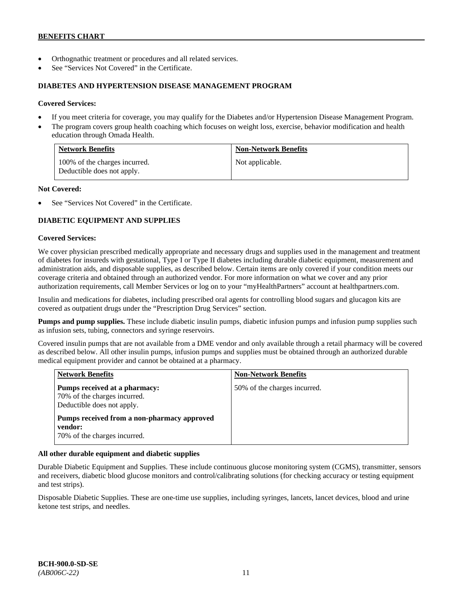- Orthognathic treatment or procedures and all related services.
- See "Services Not Covered" in the Certificate.

#### **DIABETES AND HYPERTENSION DISEASE MANAGEMENT PROGRAM**

#### **Covered Services:**

- If you meet criteria for coverage, you may qualify for the Diabetes and/or Hypertension Disease Management Program.
- The program covers group health coaching which focuses on weight loss, exercise, behavior modification and health education through Omada Health.

| <b>Network Benefits</b>                                     | <b>Non-Network Benefits</b> |
|-------------------------------------------------------------|-----------------------------|
| 100% of the charges incurred.<br>Deductible does not apply. | Not applicable.             |

#### **Not Covered:**

See "Services Not Covered" in the Certificate.

# **DIABETIC EQUIPMENT AND SUPPLIES**

#### **Covered Services:**

We cover physician prescribed medically appropriate and necessary drugs and supplies used in the management and treatment of diabetes for insureds with gestational, Type I or Type II diabetes including durable diabetic equipment, measurement and administration aids, and disposable supplies, as described below. Certain items are only covered if your condition meets our coverage criteria and obtained through an authorized vendor. For more information on what we cover and any prior authorization requirements, call Member Services or log on to your "myHealthPartners" account at [healthpartners.com.](http://www.healthpartners.com/)

Insulin and medications for diabetes, including prescribed oral agents for controlling blood sugars and glucagon kits are covered as outpatient drugs under the "Prescription Drug Services" section.

**Pumps and pump supplies.** These include diabetic insulin pumps, diabetic infusion pumps and infusion pump supplies such as infusion sets, tubing, connectors and syringe reservoirs.

Covered insulin pumps that are not available from a DME vendor and only available through a retail pharmacy will be covered as described below. All other insulin pumps, infusion pumps and supplies must be obtained through an authorized durable medical equipment provider and cannot be obtained at a pharmacy.

| <b>Network Benefits</b>                                                                     | <b>Non-Network Benefits</b>  |
|---------------------------------------------------------------------------------------------|------------------------------|
| Pumps received at a pharmacy:<br>70% of the charges incurred.<br>Deductible does not apply. | 50% of the charges incurred. |
| Pumps received from a non-pharmacy approved<br>vendor:<br>70% of the charges incurred.      |                              |

### **All other durable equipment and diabetic supplies**

Durable Diabetic Equipment and Supplies. These include continuous glucose monitoring system (CGMS), transmitter, sensors and receivers, diabetic blood glucose monitors and control/calibrating solutions (for checking accuracy or testing equipment and test strips).

Disposable Diabetic Supplies. These are one-time use supplies, including syringes, lancets, lancet devices, blood and urine ketone test strips, and needles.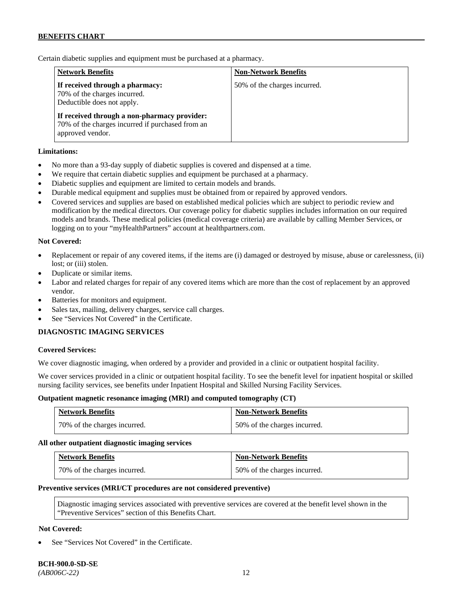Certain diabetic supplies and equipment must be purchased at a pharmacy.

| <b>Network Benefits</b>                                                                                              | <b>Non-Network Benefits</b>  |
|----------------------------------------------------------------------------------------------------------------------|------------------------------|
| If received through a pharmacy:<br>70% of the charges incurred.<br>Deductible does not apply.                        | 50% of the charges incurred. |
| If received through a non-pharmacy provider:<br>70% of the charges incurred if purchased from an<br>approved vendor. |                              |

### **Limitations:**

- No more than a 93-day supply of diabetic supplies is covered and dispensed at a time.
- We require that certain diabetic supplies and equipment be purchased at a pharmacy.
- Diabetic supplies and equipment are limited to certain models and brands.
- Durable medical equipment and supplies must be obtained from or repaired by approved vendors.
- Covered services and supplies are based on established medical policies which are subject to periodic review and modification by the medical directors. Our coverage policy for diabetic supplies includes information on our required models and brands. These medical policies (medical coverage criteria) are available by calling Member Services, or logging on to your "myHealthPartners" account at [healthpartners.com.](http://www.healthpartners.com/)

### **Not Covered:**

- Replacement or repair of any covered items, if the items are (i) damaged or destroyed by misuse, abuse or carelessness, (ii) lost; or (iii) stolen.
- Duplicate or similar items.
- Labor and related charges for repair of any covered items which are more than the cost of replacement by an approved vendor.
- Batteries for monitors and equipment.
- Sales tax, mailing, delivery charges, service call charges.
- See "Services Not Covered" in the Certificate.

### **DIAGNOSTIC IMAGING SERVICES**

#### **Covered Services:**

We cover diagnostic imaging, when ordered by a provider and provided in a clinic or outpatient hospital facility.

We cover services provided in a clinic or outpatient hospital facility. To see the benefit level for inpatient hospital or skilled nursing facility services, see benefits under Inpatient Hospital and Skilled Nursing Facility Services.

#### **Outpatient magnetic resonance imaging (MRI) and computed tomography (CT)**

| <b>Network Benefits</b>      | <b>Non-Network Benefits</b>  |
|------------------------------|------------------------------|
| 70% of the charges incurred. | 50% of the charges incurred. |

#### **All other outpatient diagnostic imaging services**

| <b>Network Benefits</b>      | <b>Non-Network Benefits</b>  |
|------------------------------|------------------------------|
| 70% of the charges incurred. | 50% of the charges incurred. |

#### **Preventive services (MRI/CT procedures are not considered preventive)**

Diagnostic imaging services associated with preventive services are covered at the benefit level shown in the "Preventive Services" section of this Benefits Chart.

### **Not Covered:**

See "Services Not Covered" in the Certificate.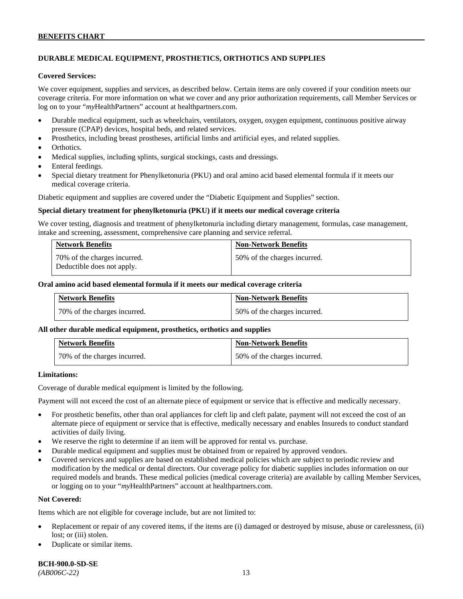# **DURABLE MEDICAL EQUIPMENT, PROSTHETICS, ORTHOTICS AND SUPPLIES**

#### **Covered Services:**

We cover equipment, supplies and services, as described below. Certain items are only covered if your condition meets our coverage criteria. For more information on what we cover and any prior authorization requirements, call Member Services or log on to your "*my*HealthPartners" account at [healthpartners.com.](http://healthpartners.com/)

- Durable medical equipment, such as wheelchairs, ventilators, oxygen, oxygen equipment, continuous positive airway pressure (CPAP) devices, hospital beds, and related services.
- Prosthetics, including breast prostheses, artificial limbs and artificial eyes, and related supplies.
- Orthotics.
- Medical supplies, including splints, surgical stockings, casts and dressings.
- Enteral feedings.
- Special dietary treatment for Phenylketonuria (PKU) and oral amino acid based elemental formula if it meets our medical coverage criteria.

Diabetic equipment and supplies are covered under the "Diabetic Equipment and Supplies" section.

#### **Special dietary treatment for phenylketonuria (PKU) if it meets our medical coverage criteria**

We cover testing, diagnosis and treatment of phenylketonuria including dietary management, formulas, case management, intake and screening, assessment, comprehensive care planning and service referral.

| <b>Network Benefits</b>                                    | <b>Non-Network Benefits</b>  |
|------------------------------------------------------------|------------------------------|
| 70% of the charges incurred.<br>Deductible does not apply. | 50% of the charges incurred. |

#### **Oral amino acid based elemental formula if it meets our medical coverage criteria**

| <b>Network Benefits</b>      | <b>Non-Network Benefits</b>  |
|------------------------------|------------------------------|
| 70% of the charges incurred. | 50% of the charges incurred. |

#### **All other durable medical equipment, prosthetics, orthotics and supplies**

| <b>Network Benefits</b>      | <b>Non-Network Benefits</b>  |
|------------------------------|------------------------------|
| 70% of the charges incurred. | 50% of the charges incurred. |

#### **Limitations:**

Coverage of durable medical equipment is limited by the following.

Payment will not exceed the cost of an alternate piece of equipment or service that is effective and medically necessary.

- For prosthetic benefits, other than oral appliances for cleft lip and cleft palate, payment will not exceed the cost of an alternate piece of equipment or service that is effective, medically necessary and enables Insureds to conduct standard activities of daily living.
- We reserve the right to determine if an item will be approved for rental vs. purchase.
- Durable medical equipment and supplies must be obtained from or repaired by approved vendors.
- Covered services and supplies are based on established medical policies which are subject to periodic review and modification by the medical or dental directors. Our coverage policy for diabetic supplies includes information on our required models and brands. These medical policies (medical coverage criteria) are available by calling Member Services, or logging on to your "*my*HealthPartners" account at [healthpartners.com.](http://www.healthpartners.com/)

### **Not Covered:**

Items which are not eligible for coverage include, but are not limited to:

- Replacement or repair of any covered items, if the items are (i) damaged or destroyed by misuse, abuse or carelessness, (ii) lost; or (iii) stolen.
- Duplicate or similar items.

**BCH-900.0-SD-SE** 

*(AB006C-22)* 13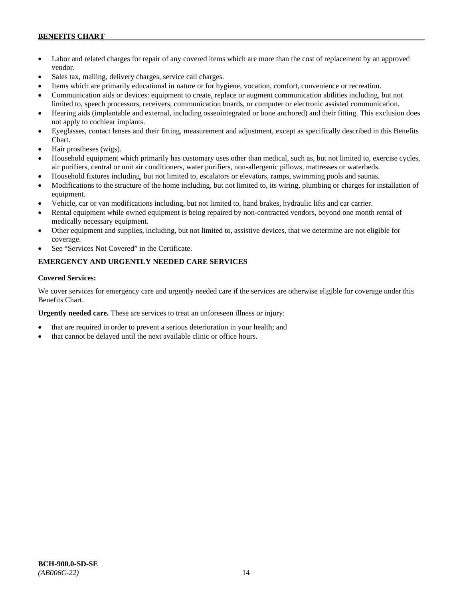- Labor and related charges for repair of any covered items which are more than the cost of replacement by an approved vendor.
- Sales tax, mailing, delivery charges, service call charges.
- Items which are primarily educational in nature or for hygiene, vocation, comfort, convenience or recreation.
- Communication aids or devices: equipment to create, replace or augment communication abilities including, but not limited to, speech processors, receivers, communication boards, or computer or electronic assisted communication.
- Hearing aids (implantable and external, including osseointegrated or bone anchored) and their fitting. This exclusion does not apply to cochlear implants.
- Eyeglasses, contact lenses and their fitting, measurement and adjustment, except as specifically described in this Benefits Chart.
- Hair prostheses (wigs).
- Household equipment which primarily has customary uses other than medical, such as, but not limited to, exercise cycles, air purifiers, central or unit air conditioners, water purifiers, non-allergenic pillows, mattresses or waterbeds.
- Household fixtures including, but not limited to, escalators or elevators, ramps, swimming pools and saunas.
- Modifications to the structure of the home including, but not limited to, its wiring, plumbing or charges for installation of equipment.
- Vehicle, car or van modifications including, but not limited to, hand brakes, hydraulic lifts and car carrier.
- Rental equipment while owned equipment is being repaired by non-contracted vendors, beyond one month rental of medically necessary equipment.
- Other equipment and supplies, including, but not limited to, assistive devices, that we determine are not eligible for coverage.
- See "Services Not Covered" in the Certificate.

# **EMERGENCY AND URGENTLY NEEDED CARE SERVICES**

### **Covered Services:**

We cover services for emergency care and urgently needed care if the services are otherwise eligible for coverage under this Benefits Chart.

**Urgently needed care.** These are services to treat an unforeseen illness or injury:

- that are required in order to prevent a serious deterioration in your health; and
- that cannot be delayed until the next available clinic or office hours.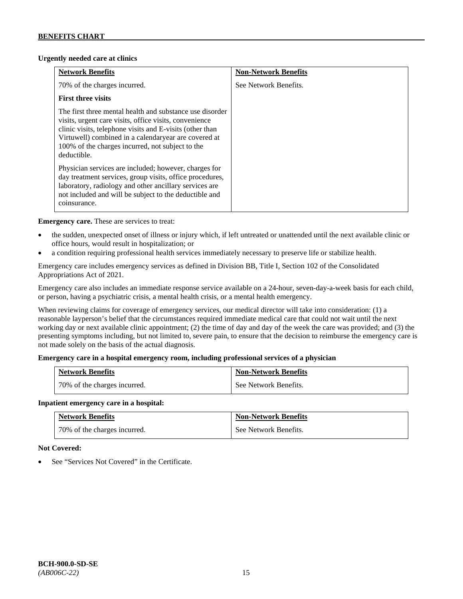### **Urgently needed care at clinics**

| <b>Network Benefits</b>                                                                                                                                                                                                                                                                                   | <b>Non-Network Benefits</b> |
|-----------------------------------------------------------------------------------------------------------------------------------------------------------------------------------------------------------------------------------------------------------------------------------------------------------|-----------------------------|
| 70% of the charges incurred.                                                                                                                                                                                                                                                                              | See Network Benefits.       |
| <b>First three visits</b>                                                                                                                                                                                                                                                                                 |                             |
| The first three mental health and substance use disorder<br>visits, urgent care visits, office visits, convenience<br>clinic visits, telephone visits and E-visits (other than<br>Virtuwell) combined in a calendaryear are covered at<br>100% of the charges incurred, not subject to the<br>deductible. |                             |
| Physician services are included; however, charges for<br>day treatment services, group visits, office procedures,<br>laboratory, radiology and other ancillary services are<br>not included and will be subject to the deductible and<br>coinsurance.                                                     |                             |

**Emergency care.** These are services to treat:

- the sudden, unexpected onset of illness or injury which, if left untreated or unattended until the next available clinic or office hours, would result in hospitalization; or
- a condition requiring professional health services immediately necessary to preserve life or stabilize health.

Emergency care includes emergency services as defined in Division BB, Title I, Section 102 of the Consolidated Appropriations Act of 2021.

Emergency care also includes an immediate response service available on a 24-hour, seven-day-a-week basis for each child, or person, having a psychiatric crisis, a mental health crisis, or a mental health emergency.

When reviewing claims for coverage of emergency services, our medical director will take into consideration: (1) a reasonable layperson's belief that the circumstances required immediate medical care that could not wait until the next working day or next available clinic appointment; (2) the time of day and day of the week the care was provided; and (3) the presenting symptoms including, but not limited to, severe pain, to ensure that the decision to reimburse the emergency care is not made solely on the basis of the actual diagnosis.

### **Emergency care in a hospital emergency room, including professional services of a physician**

| <b>Network Benefits</b>      | <b>Non-Network Benefits</b> |
|------------------------------|-----------------------------|
| 70% of the charges incurred. | See Network Benefits.       |

### **Inpatient emergency care in a hospital:**

| <b>Network Benefits</b>      | <b>Non-Network Benefits</b> |
|------------------------------|-----------------------------|
| 70% of the charges incurred. | See Network Benefits.       |

### **Not Covered:**

See "Services Not Covered" in the Certificate.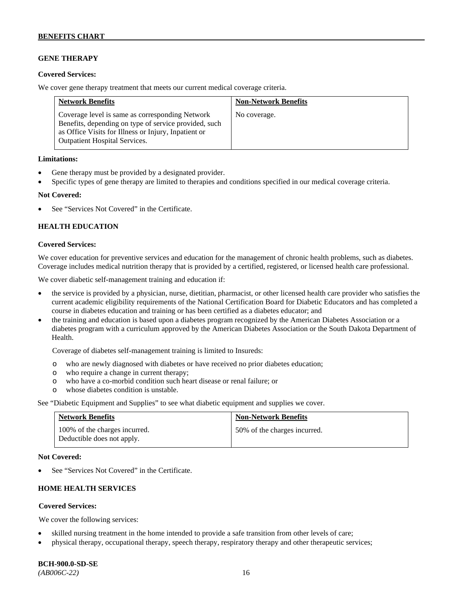## **GENE THERAPY**

#### **Covered Services:**

We cover gene therapy treatment that meets our current medical coverage criteria.

| <b>Network Benefits</b>                                                                                                                                                                                  | <b>Non-Network Benefits</b> |
|----------------------------------------------------------------------------------------------------------------------------------------------------------------------------------------------------------|-----------------------------|
| Coverage level is same as corresponding Network<br>Benefits, depending on type of service provided, such<br>as Office Visits for Illness or Injury, Inpatient or<br><b>Outpatient Hospital Services.</b> | No coverage.                |

#### **Limitations:**

- Gene therapy must be provided by a designated provider.
- Specific types of gene therapy are limited to therapies and conditions specified in our medical coverage criteria.

#### **Not Covered:**

See "Services Not Covered" in the Certificate.

### **HEALTH EDUCATION**

#### **Covered Services:**

We cover education for preventive services and education for the management of chronic health problems, such as diabetes. Coverage includes medical nutrition therapy that is provided by a certified, registered, or licensed health care professional.

We cover diabetic self-management training and education if:

- the service is provided by a physician, nurse, dietitian, pharmacist, or other licensed health care provider who satisfies the current academic eligibility requirements of the National Certification Board for Diabetic Educators and has completed a course in diabetes education and training or has been certified as a diabetes educator; and
- the training and education is based upon a diabetes program recognized by the American Diabetes Association or a diabetes program with a curriculum approved by the American Diabetes Association or the South Dakota Department of Health.

Coverage of diabetes self-management training is limited to Insureds:

- o who are newly diagnosed with diabetes or have received no prior diabetes education;
- o who require a change in current therapy;<br>o who have a co-morbid condition such heal
- who have a co-morbid condition such heart disease or renal failure; or
- o whose diabetes condition is unstable.

See "Diabetic Equipment and Supplies" to see what diabetic equipment and supplies we cover.

| <b>Network Benefits</b>                                     | <b>Non-Network Benefits</b>  |
|-------------------------------------------------------------|------------------------------|
| 100% of the charges incurred.<br>Deductible does not apply. | 50% of the charges incurred. |

#### **Not Covered:**

See "Services Not Covered" in the Certificate.

# **HOME HEALTH SERVICES**

### **Covered Services:**

We cover the following services:

- skilled nursing treatment in the home intended to provide a safe transition from other levels of care;
- physical therapy, occupational therapy, speech therapy, respiratory therapy and other therapeutic services;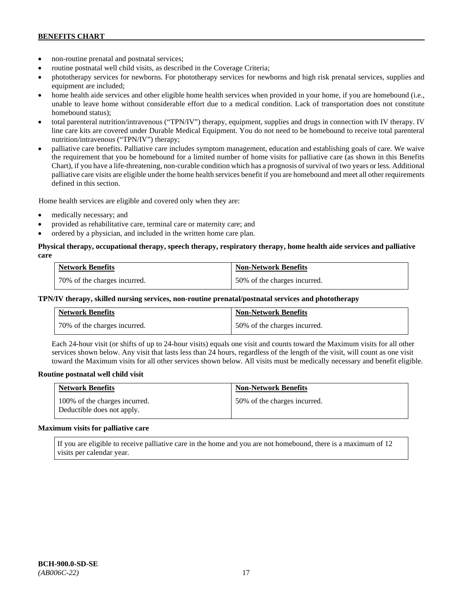- non-routine prenatal and postnatal services;
- routine postnatal well child visits, as described in the Coverage Criteria;
- phototherapy services for newborns. For phototherapy services for newborns and high risk prenatal services, supplies and equipment are included;
- home health aide services and other eligible home health services when provided in your home, if you are homebound (i.e., unable to leave home without considerable effort due to a medical condition. Lack of transportation does not constitute homebound status);
- total parenteral nutrition/intravenous ("TPN/IV") therapy, equipment, supplies and drugs in connection with IV therapy. IV line care kits are covered under Durable Medical Equipment. You do not need to be homebound to receive total parenteral nutrition/intravenous ("TPN/IV") therapy;
- palliative care benefits. Palliative care includes symptom management, education and establishing goals of care. We waive the requirement that you be homebound for a limited number of home visits for palliative care (as shown in this Benefits Chart), if you have a life-threatening, non-curable condition which has a prognosis of survival of two years or less. Additional palliative care visits are eligible under the home health services benefit if you are homebound and meet all other requirements defined in this section.

Home health services are eligible and covered only when they are:

- medically necessary; and
- provided as rehabilitative care, terminal care or maternity care; and
- ordered by a physician, and included in the written home care plan.

#### **Physical therapy, occupational therapy, speech therapy, respiratory therapy, home health aide services and palliative care**

| <b>Network Benefits</b>      | <b>Non-Network Benefits</b>  |
|------------------------------|------------------------------|
| 70% of the charges incurred. | 50% of the charges incurred. |

## **TPN/IV therapy, skilled nursing services, non-routine prenatal/postnatal services and phototherapy**

| <b>Network Benefits</b>        | <b>Non-Network Benefits</b>  |
|--------------------------------|------------------------------|
| 1 70% of the charges incurred. | 50% of the charges incurred. |

Each 24-hour visit (or shifts of up to 24-hour visits) equals one visit and counts toward the Maximum visits for all other services shown below. Any visit that lasts less than 24 hours, regardless of the length of the visit, will count as one visit toward the Maximum visits for all other services shown below. All visits must be medically necessary and benefit eligible.

### **Routine postnatal well child visit**

| <b>Network Benefits</b>                                     | <b>Non-Network Benefits</b>  |
|-------------------------------------------------------------|------------------------------|
| 100% of the charges incurred.<br>Deductible does not apply. | 50% of the charges incurred. |

#### **Maximum visits for palliative care**

If you are eligible to receive palliative care in the home and you are not homebound, there is a maximum of 12 visits per calendar year.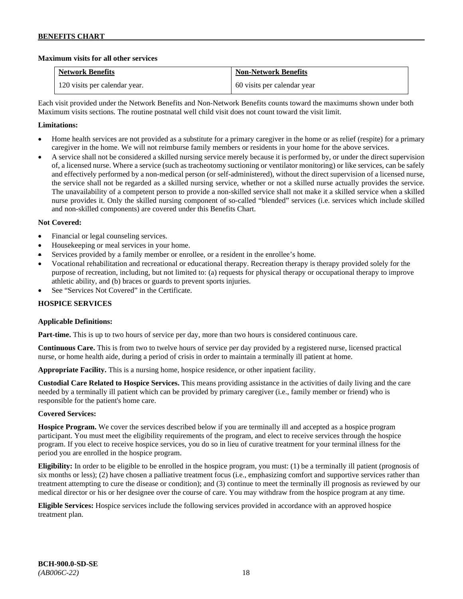### **Maximum visits for all other services**

| <b>Network Benefits</b>       | <b>Non-Network Benefits</b> |
|-------------------------------|-----------------------------|
| 120 visits per calendar year. | 60 visits per calendar year |

Each visit provided under the Network Benefits and Non-Network Benefits counts toward the maximums shown under both Maximum visits sections. The routine postnatal well child visit does not count toward the visit limit.

## **Limitations:**

- Home health services are not provided as a substitute for a primary caregiver in the home or as relief (respite) for a primary caregiver in the home. We will not reimburse family members or residents in your home for the above services.
- A service shall not be considered a skilled nursing service merely because it is performed by, or under the direct supervision of, a licensed nurse. Where a service (such as tracheotomy suctioning or ventilator monitoring) or like services, can be safely and effectively performed by a non-medical person (or self-administered), without the direct supervision of a licensed nurse, the service shall not be regarded as a skilled nursing service, whether or not a skilled nurse actually provides the service. The unavailability of a competent person to provide a non-skilled service shall not make it a skilled service when a skilled nurse provides it. Only the skilled nursing component of so-called "blended" services (i.e. services which include skilled and non-skilled components) are covered under this Benefits Chart.

### **Not Covered:**

- Financial or legal counseling services.
- Housekeeping or meal services in your home.
- Services provided by a family member or enrollee, or a resident in the enrollee's home.
- Vocational rehabilitation and recreational or educational therapy. Recreation therapy is therapy provided solely for the purpose of recreation, including, but not limited to: (a) requests for physical therapy or occupational therapy to improve athletic ability, and (b) braces or guards to prevent sports injuries.
- See "Services Not Covered" in the Certificate.

## **HOSPICE SERVICES**

### **Applicable Definitions:**

**Part-time.** This is up to two hours of service per day, more than two hours is considered continuous care.

**Continuous Care.** This is from two to twelve hours of service per day provided by a registered nurse, licensed practical nurse, or home health aide, during a period of crisis in order to maintain a terminally ill patient at home.

**Appropriate Facility.** This is a nursing home, hospice residence, or other inpatient facility.

**Custodial Care Related to Hospice Services.** This means providing assistance in the activities of daily living and the care needed by a terminally ill patient which can be provided by primary caregiver (i.e., family member or friend) who is responsible for the patient's home care.

### **Covered Services:**

**Hospice Program.** We cover the services described below if you are terminally ill and accepted as a hospice program participant. You must meet the eligibility requirements of the program, and elect to receive services through the hospice program. If you elect to receive hospice services, you do so in lieu of curative treatment for your terminal illness for the period you are enrolled in the hospice program.

**Eligibility:** In order to be eligible to be enrolled in the hospice program, you must: (1) be a terminally ill patient (prognosis of six months or less); (2) have chosen a palliative treatment focus (i.e., emphasizing comfort and supportive services rather than treatment attempting to cure the disease or condition); and (3) continue to meet the terminally ill prognosis as reviewed by our medical director or his or her designee over the course of care. You may withdraw from the hospice program at any time.

**Eligible Services:** Hospice services include the following services provided in accordance with an approved hospice treatment plan.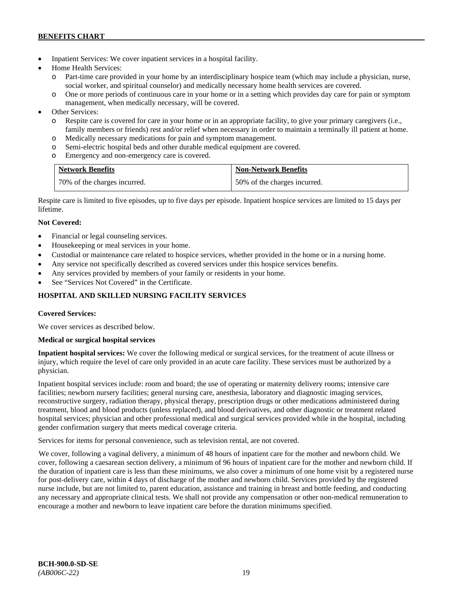- Inpatient Services: We cover inpatient services in a hospital facility.
- Home Health Services:
	- o Part-time care provided in your home by an interdisciplinary hospice team (which may include a physician, nurse, social worker, and spiritual counselor) and medically necessary home health services are covered.
	- o One or more periods of continuous care in your home or in a setting which provides day care for pain or symptom management, when medically necessary, will be covered.
- Other Services:
	- o Respite care is covered for care in your home or in an appropriate facility, to give your primary caregivers (i.e., family members or friends) rest and/or relief when necessary in order to maintain a terminally ill patient at home*.*
	- o Medically necessary medications for pain and symptom management.
	- o Semi-electric hospital beds and other durable medical equipment are covered.
	- o Emergency and non-emergency care is covered.

| <b>Network Benefits</b>      | <b>Non-Network Benefits</b>  |
|------------------------------|------------------------------|
| 70% of the charges incurred. | 50% of the charges incurred. |

Respite care is limited to five episodes, up to five days per episode. Inpatient hospice services are limited to 15 days per lifetime.

# **Not Covered:**

- Financial or legal counseling services.
- Housekeeping or meal services in your home.
- Custodial or maintenance care related to hospice services, whether provided in the home or in a nursing home.
- Any service not specifically described as covered services under this hospice services benefits.
- Any services provided by members of your family or residents in your home.
- See "Services Not Covered" in the Certificate.

# **HOSPITAL AND SKILLED NURSING FACILITY SERVICES**

### **Covered Services:**

We cover services as described below.

### **Medical or surgical hospital services**

**Inpatient hospital services:** We cover the following medical or surgical services, for the treatment of acute illness or injury, which require the level of care only provided in an acute care facility. These services must be authorized by a physician.

Inpatient hospital services include: room and board; the use of operating or maternity delivery rooms; intensive care facilities; newborn nursery facilities; general nursing care, anesthesia, laboratory and diagnostic imaging services, reconstructive surgery, radiation therapy, physical therapy, prescription drugs or other medications administered during treatment, blood and blood products (unless replaced), and blood derivatives, and other diagnostic or treatment related hospital services; physician and other professional medical and surgical services provided while in the hospital, including gender confirmation surgery that meets medical coverage criteria.

Services for items for personal convenience, such as television rental, are not covered.

We cover, following a vaginal delivery, a minimum of 48 hours of inpatient care for the mother and newborn child. We cover, following a caesarean section delivery, a minimum of 96 hours of inpatient care for the mother and newborn child. If the duration of inpatient care is less than these minimums, we also cover a minimum of one home visit by a registered nurse for post-delivery care, within 4 days of discharge of the mother and newborn child. Services provided by the registered nurse include, but are not limited to, parent education, assistance and training in breast and bottle feeding, and conducting any necessary and appropriate clinical tests. We shall not provide any compensation or other non-medical remuneration to encourage a mother and newborn to leave inpatient care before the duration minimums specified.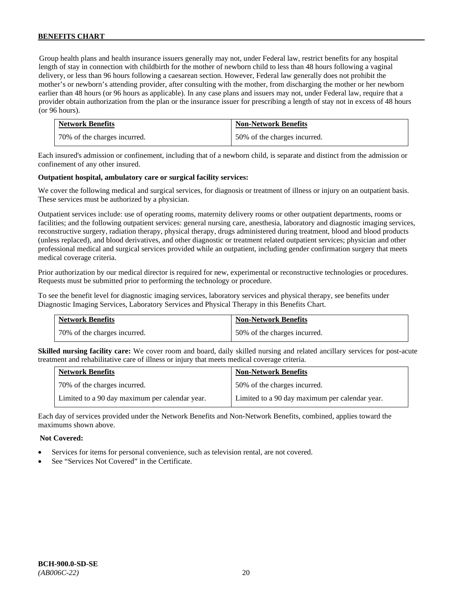Group health plans and health insurance issuers generally may not, under Federal law, restrict benefits for any hospital length of stay in connection with childbirth for the mother of newborn child to less than 48 hours following a vaginal delivery, or less than 96 hours following a caesarean section. However, Federal law generally does not prohibit the mother's or newborn's attending provider, after consulting with the mother, from discharging the mother or her newborn earlier than 48 hours (or 96 hours as applicable). In any case plans and issuers may not, under Federal law, require that a provider obtain authorization from the plan or the insurance issuer for prescribing a length of stay not in excess of 48 hours (or 96 hours).

| <b>Network Benefits</b>      | <b>Non-Network Benefits</b>  |
|------------------------------|------------------------------|
| 70% of the charges incurred. | 50% of the charges incurred. |

Each insured's admission or confinement, including that of a newborn child, is separate and distinct from the admission or confinement of any other insured.

#### **Outpatient hospital, ambulatory care or surgical facility services:**

We cover the following medical and surgical services, for diagnosis or treatment of illness or injury on an outpatient basis. These services must be authorized by a physician.

Outpatient services include: use of operating rooms, maternity delivery rooms or other outpatient departments, rooms or facilities; and the following outpatient services: general nursing care, anesthesia, laboratory and diagnostic imaging services, reconstructive surgery, radiation therapy, physical therapy, drugs administered during treatment, blood and blood products (unless replaced), and blood derivatives, and other diagnostic or treatment related outpatient services; physician and other professional medical and surgical services provided while an outpatient, including gender confirmation surgery that meets medical coverage criteria.

Prior authorization by our medical director is required for new, experimental or reconstructive technologies or procedures. Requests must be submitted prior to performing the technology or procedure.

To see the benefit level for diagnostic imaging services, laboratory services and physical therapy, see benefits under Diagnostic Imaging Services, Laboratory Services and Physical Therapy in this Benefits Chart.

| <b>Network Benefits</b>      | <b>Non-Network Benefits</b>  |
|------------------------------|------------------------------|
| 70% of the charges incurred. | 50% of the charges incurred. |

**Skilled nursing facility care:** We cover room and board, daily skilled nursing and related ancillary services for post-acute treatment and rehabilitative care of illness or injury that meets medical coverage criteria.

| <b>Network Benefits</b>                        | <b>Non-Network Benefits</b>                    |
|------------------------------------------------|------------------------------------------------|
| 70% of the charges incurred.                   | 50% of the charges incurred.                   |
| Limited to a 90 day maximum per calendar year. | Limited to a 90 day maximum per calendar year. |

Each day of services provided under the Network Benefits and Non-Network Benefits, combined, applies toward the maximums shown above.

#### **Not Covered:**

- Services for items for personal convenience, such as television rental, are not covered.
- See "Services Not Covered" in the Certificate.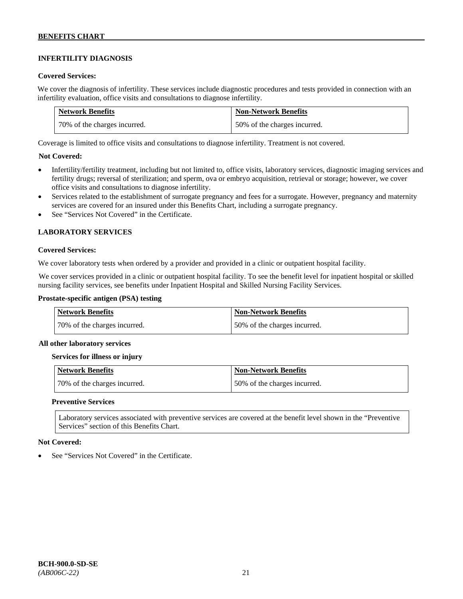# **INFERTILITY DIAGNOSIS**

#### **Covered Services:**

We cover the diagnosis of infertility. These services include diagnostic procedures and tests provided in connection with an infertility evaluation, office visits and consultations to diagnose infertility.

| <b>Network Benefits</b>      | <b>Non-Network Benefits</b>  |
|------------------------------|------------------------------|
| 70% of the charges incurred. | 50% of the charges incurred. |

Coverage is limited to office visits and consultations to diagnose infertility. Treatment is not covered.

### **Not Covered:**

- Infertility/fertility treatment, including but not limited to, office visits, laboratory services, diagnostic imaging services and fertility drugs; reversal of sterilization; and sperm, ova or embryo acquisition, retrieval or storage; however, we cover office visits and consultations to diagnose infertility.
- Services related to the establishment of surrogate pregnancy and fees for a surrogate. However, pregnancy and maternity services are covered for an insured under this Benefits Chart, including a surrogate pregnancy.
- See "Services Not Covered" in the Certificate.

### **LABORATORY SERVICES**

#### **Covered Services:**

We cover laboratory tests when ordered by a provider and provided in a clinic or outpatient hospital facility.

We cover services provided in a clinic or outpatient hospital facility. To see the benefit level for inpatient hospital or skilled nursing facility services, see benefits under Inpatient Hospital and Skilled Nursing Facility Services.

#### **Prostate-specific antigen (PSA) testing**

| <b>Network Benefits</b>      | <b>Non-Network Benefits</b>  |
|------------------------------|------------------------------|
| 70% of the charges incurred. | 50% of the charges incurred. |

#### **All other laboratory services**

#### **Services for illness or injury**

| Network Benefits             | Non-Network Benefits         |
|------------------------------|------------------------------|
| 70% of the charges incurred. | 50% of the charges incurred. |

#### **Preventive Services**

Laboratory services associated with preventive services are covered at the benefit level shown in the "Preventive Services" section of this Benefits Chart.

#### **Not Covered:**

See "Services Not Covered" in the Certificate.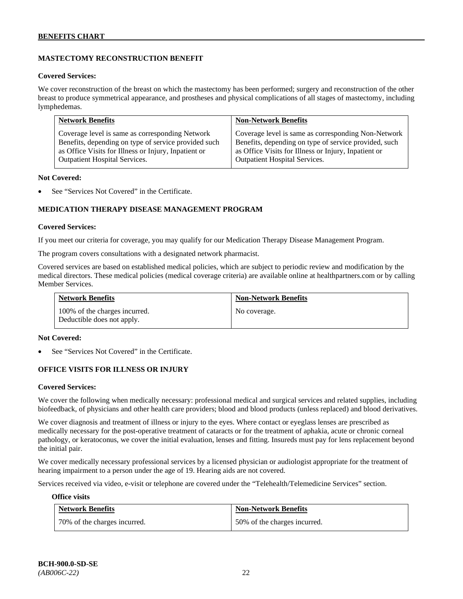# **MASTECTOMY RECONSTRUCTION BENEFIT**

#### **Covered Services:**

We cover reconstruction of the breast on which the mastectomy has been performed; surgery and reconstruction of the other breast to produce symmetrical appearance, and prostheses and physical complications of all stages of mastectomy, including lymphedemas.

| <b>Network Benefits</b>                              | <b>Non-Network Benefits</b>                           |
|------------------------------------------------------|-------------------------------------------------------|
| Coverage level is same as corresponding Network      | Coverage level is same as corresponding Non-Network   |
| Benefits, depending on type of service provided such | Benefits, depending on type of service provided, such |
| as Office Visits for Illness or Injury, Inpatient or | as Office Visits for Illness or Injury, Inpatient or  |
| <b>Outpatient Hospital Services.</b>                 | Outpatient Hospital Services.                         |

#### **Not Covered:**

See "Services Not Covered" in the Certificate.

# **MEDICATION THERAPY DISEASE MANAGEMENT PROGRAM**

#### **Covered Services:**

If you meet our criteria for coverage, you may qualify for our Medication Therapy Disease Management Program.

The program covers consultations with a designated network pharmacist.

Covered services are based on established medical policies, which are subject to periodic review and modification by the medical directors. These medical policies (medical coverage criteria) are available online at [healthpartners.com](http://www.healthpartners.com/) or by calling Member Services.

| <b>Network Benefits</b>                                     | <b>Non-Network Benefits</b> |
|-------------------------------------------------------------|-----------------------------|
| 100% of the charges incurred.<br>Deductible does not apply. | No coverage.                |

#### **Not Covered:**

See "Services Not Covered" in the Certificate.

### **OFFICE VISITS FOR ILLNESS OR INJURY**

#### **Covered Services:**

We cover the following when medically necessary: professional medical and surgical services and related supplies, including biofeedback, of physicians and other health care providers; blood and blood products (unless replaced) and blood derivatives.

We cover diagnosis and treatment of illness or injury to the eyes. Where contact or eyeglass lenses are prescribed as medically necessary for the post-operative treatment of cataracts or for the treatment of aphakia, acute or chronic corneal pathology, or keratoconus, we cover the initial evaluation, lenses and fitting. Insureds must pay for lens replacement beyond the initial pair.

We cover medically necessary professional services by a licensed physician or audiologist appropriate for the treatment of hearing impairment to a person under the age of 19. Hearing aids are not covered.

Services received via video, e-visit or telephone are covered under the "Telehealth/Telemedicine Services" section.

#### **Office visits**

| <b>Network Benefits</b>      | <b>Non-Network Benefits</b>  |
|------------------------------|------------------------------|
| 70% of the charges incurred. | 50% of the charges incurred. |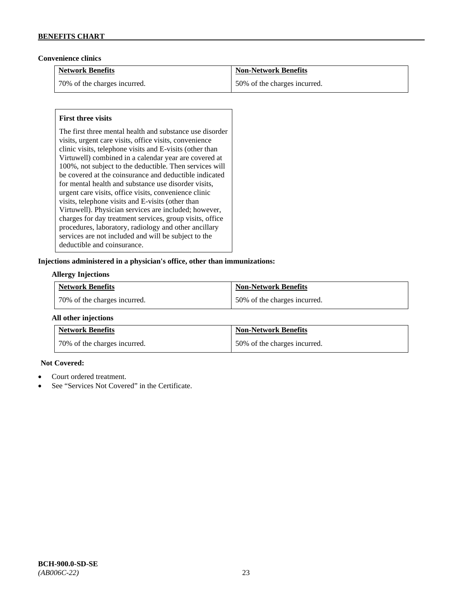### **Convenience clinics**

| <b>Network Benefits</b>      | <b>Non-Network Benefits</b>  |
|------------------------------|------------------------------|
| 70% of the charges incurred. | 50% of the charges incurred. |

### **First three visits**

The first three mental health and substance use disorder visits, urgent care visits, office visits, convenience clinic visits, telephone visits and E-visits (other than Virtuwell) combined in a calendar year are covered at 100%, not subject to the deductible. Then services will be covered at the coinsurance and deductible indicated for mental health and substance use disorder visits, urgent care visits, office visits, convenience clinic visits, telephone visits and E-visits (other than Virtuwell). Physician services are included; however, charges for day treatment services, group visits, office procedures, laboratory, radiology and other ancillary services are not included and will be subject to the deductible and coinsurance.

#### **Injections administered in a physician's office, other than immunizations:**

#### **Allergy Injections**

| <b>Network Benefits</b>        | <b>Non-Network Benefits</b>  |
|--------------------------------|------------------------------|
| 1 70% of the charges incurred. | 50% of the charges incurred. |

#### **All other injections**

| <b>Network Benefits</b>        | <b>Non-Network Benefits</b>  |
|--------------------------------|------------------------------|
| 1 70% of the charges incurred. | 50% of the charges incurred. |

### **Not Covered:**

- Court ordered treatment.
- See "Services Not Covered" in the Certificate.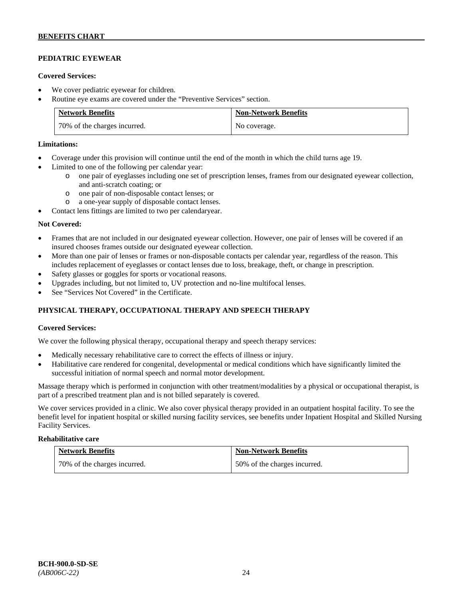# **PEDIATRIC EYEWEAR**

#### **Covered Services:**

- We cover pediatric eyewear for children.
- Routine eye exams are covered under the "Preventive Services" section.

| <b>Network Benefits</b>      | <b>Non-Network Benefits</b> |
|------------------------------|-----------------------------|
| 70% of the charges incurred. | No coverage.                |

#### **Limitations:**

- Coverage under this provision will continue until the end of the month in which the child turns age 19.
- Limited to one of the following per calendar year:
	- o one pair of eyeglasses including one set of prescription lenses, frames from our designated eyewear collection, and anti-scratch coating; or
	- o one pair of non-disposable contact lenses; or
	- o a one-year supply of disposable contact lenses.
- Contact lens fittings are limited to two per calendaryear.

#### **Not Covered:**

- Frames that are not included in our designated eyewear collection. However, one pair of lenses will be covered if an insured chooses frames outside our designated eyewear collection.
- More than one pair of lenses or frames or non-disposable contacts per calendar year, regardless of the reason. This includes replacement of eyeglasses or contact lenses due to loss, breakage, theft, or change in prescription.
- Safety glasses or goggles for sports or vocational reasons.
- Upgrades including, but not limited to, UV protection and no-line multifocal lenses.
- See "Services Not Covered" in the Certificate.

# **PHYSICAL THERAPY, OCCUPATIONAL THERAPY AND SPEECH THERAPY**

### **Covered Services:**

We cover the following physical therapy, occupational therapy and speech therapy services:

- Medically necessary rehabilitative care to correct the effects of illness or injury.
- Habilitative care rendered for congenital, developmental or medical conditions which have significantly limited the successful initiation of normal speech and normal motor development.

Massage therapy which is performed in conjunction with other treatment/modalities by a physical or occupational therapist, is part of a prescribed treatment plan and is not billed separately is covered.

We cover services provided in a clinic. We also cover physical therapy provided in an outpatient hospital facility. To see the benefit level for inpatient hospital or skilled nursing facility services, see benefits under Inpatient Hospital and Skilled Nursing Facility Services.

#### **Rehabilitative care**

| <b>Network Benefits</b>      | <b>Non-Network Benefits</b>  |
|------------------------------|------------------------------|
| 70% of the charges incurred. | 50% of the charges incurred. |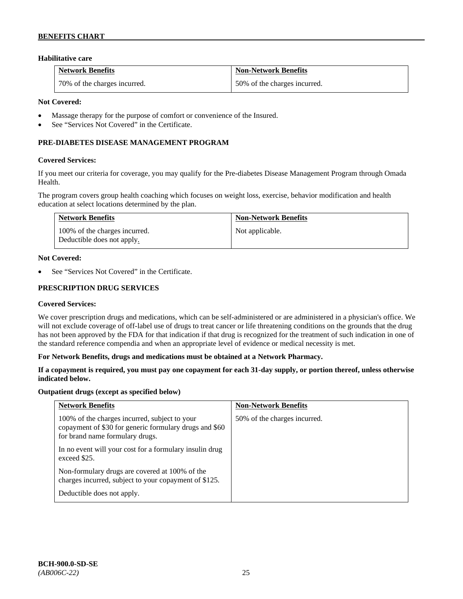## **Habilitative care**

| <b>Network Benefits</b>      | <b>Non-Network Benefits</b>  |
|------------------------------|------------------------------|
| 70% of the charges incurred. | 50% of the charges incurred. |

#### **Not Covered:**

- Massage therapy for the purpose of comfort or convenience of the Insured.
- See "Services Not Covered" in the Certificate.

# **PRE-DIABETES DISEASE MANAGEMENT PROGRAM**

#### **Covered Services:**

If you meet our criteria for coverage, you may qualify for the Pre-diabetes Disease Management Program through Omada Health.

The program covers group health coaching which focuses on weight loss, exercise, behavior modification and health education at select locations determined by the plan.

| <b>Network Benefits</b>                                     | <b>Non-Network Benefits</b> |
|-------------------------------------------------------------|-----------------------------|
| 100% of the charges incurred.<br>Deductible does not apply. | Not applicable.             |

#### **Not Covered:**

See "Services Not Covered" in the Certificate.

#### **PRESCRIPTION DRUG SERVICES**

#### **Covered Services:**

We cover prescription drugs and medications, which can be self-administered or are administered in a physician's office. We will not exclude coverage of off-label use of drugs to treat cancer or life threatening conditions on the grounds that the drug has not been approved by the FDA for that indication if that drug is recognized for the treatment of such indication in one of the standard reference compendia and when an appropriate level of evidence or medical necessity is met.

#### **For Network Benefits, drugs and medications must be obtained at a Network Pharmacy.**

#### **If a copayment is required, you must pay one copayment for each 31-day supply, or portion thereof, unless otherwise indicated below.**

#### **Outpatient drugs (except as specified below)**

| <b>Network Benefits</b>                                                                                                                    | <b>Non-Network Benefits</b>  |
|--------------------------------------------------------------------------------------------------------------------------------------------|------------------------------|
| 100% of the charges incurred, subject to your<br>copayment of \$30 for generic formulary drugs and \$60<br>for brand name formulary drugs. | 50% of the charges incurred. |
| In no event will your cost for a formulary insulin drug<br>exceed \$25.                                                                    |                              |
| Non-formulary drugs are covered at 100% of the<br>charges incurred, subject to your copayment of \$125.                                    |                              |
| Deductible does not apply.                                                                                                                 |                              |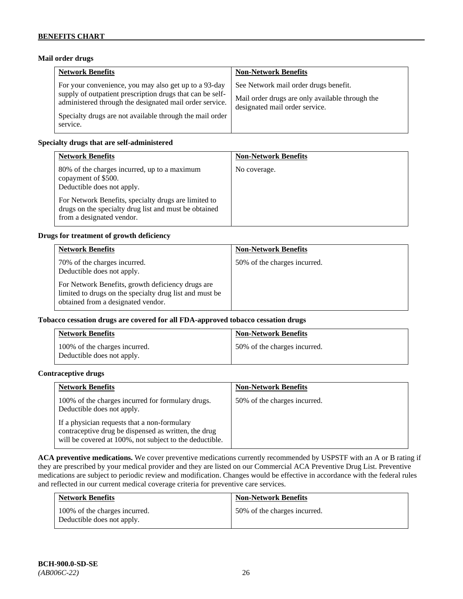### **Mail order drugs**

| <b>Network Benefits</b>                                                                                                                                                                                                                               | <b>Non-Network Benefits</b>                                                                                                |
|-------------------------------------------------------------------------------------------------------------------------------------------------------------------------------------------------------------------------------------------------------|----------------------------------------------------------------------------------------------------------------------------|
| For your convenience, you may also get up to a 93-day<br>supply of outpatient prescription drugs that can be self-<br>administered through the designated mail order service.<br>Specialty drugs are not available through the mail order<br>service. | See Network mail order drugs benefit.<br>Mail order drugs are only available through the<br>designated mail order service. |

#### **Specialty drugs that are self-administered**

| <b>Network Benefits</b>                                                                                                                                                                                                                         | <b>Non-Network Benefits</b> |
|-------------------------------------------------------------------------------------------------------------------------------------------------------------------------------------------------------------------------------------------------|-----------------------------|
| 80% of the charges incurred, up to a maximum<br>copayment of \$500.<br>Deductible does not apply.<br>For Network Benefits, specialty drugs are limited to<br>drugs on the specialty drug list and must be obtained<br>from a designated vendor. | No coverage.                |

#### **Drugs for treatment of growth deficiency**

| <b>Network Benefits</b>                                                                                                                            | <b>Non-Network Benefits</b>  |
|----------------------------------------------------------------------------------------------------------------------------------------------------|------------------------------|
| 70% of the charges incurred.<br>Deductible does not apply.                                                                                         | 50% of the charges incurred. |
| For Network Benefits, growth deficiency drugs are<br>limited to drugs on the specialty drug list and must be<br>obtained from a designated vendor. |                              |

#### **Tobacco cessation drugs are covered for all FDA-approved tobacco cessation drugs**

| <b>Network Benefits</b>                                     | <b>Non-Network Benefits</b>  |
|-------------------------------------------------------------|------------------------------|
| 100% of the charges incurred.<br>Deductible does not apply. | 50% of the charges incurred. |

#### **Contraceptive drugs**

| <b>Network Benefits</b>                                                                                                                                         | <b>Non-Network Benefits</b>  |
|-----------------------------------------------------------------------------------------------------------------------------------------------------------------|------------------------------|
| 100% of the charges incurred for formulary drugs.<br>Deductible does not apply.                                                                                 | 50% of the charges incurred. |
| If a physician requests that a non-formulary<br>contraceptive drug be dispensed as written, the drug<br>will be covered at 100%, not subject to the deductible. |                              |

**ACA preventive medications.** We cover preventive medications currently recommended by USPSTF with an A or B rating if they are prescribed by your medical provider and they are listed on our Commercial ACA Preventive Drug List. Preventive medications are subject to periodic review and modification. Changes would be effective in accordance with the federal rules and reflected in our current medical coverage criteria for preventive care services.

| <b>Network Benefits</b>                                     | <b>Non-Network Benefits</b>  |
|-------------------------------------------------------------|------------------------------|
| 100% of the charges incurred.<br>Deductible does not apply. | 50% of the charges incurred. |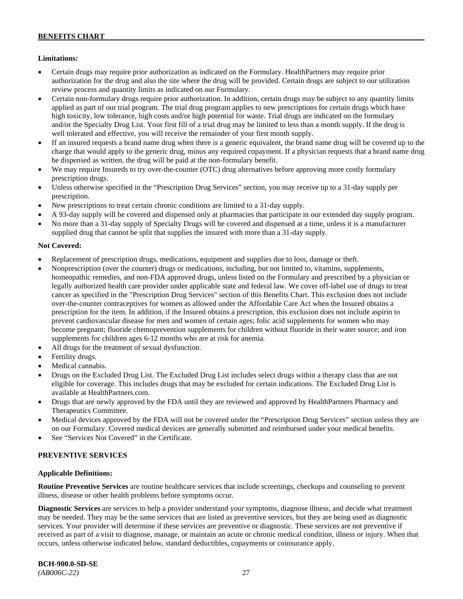### **Limitations:**

- Certain drugs may require prior authorization as indicated on the Formulary. HealthPartners may require prior authorization for the drug and also the site where the drug will be provided. Certain drugs are subject to our utilization review process and quantity limits as indicated on our Formulary.
- Certain non-formulary drugs require prior authorization. In addition, certain drugs may be subject to any quantity limits applied as part of our trial program. The trial drug program applies to new prescriptions for certain drugs which have high toxicity, low tolerance, high costs and/or high potential for waste. Trial drugs are indicated on the formulary and/or the Specialty Drug List. Your first fill of a trial drug may be limited to less than a month supply. If the drug is well tolerated and effective, you will receive the remainder of your first month supply.
- If an insured requests a brand name drug when there is a generic equivalent, the brand name drug will be covered up to the charge that would apply to the generic drug, minus any required copayment. If a physician requests that a brand name drug be dispensed as written, the drug will be paid at the non-formulary benefit.
- We may require Insureds to try over-the-counter (OTC) drug alternatives before approving more costly formulary prescription drugs.
- Unless otherwise specified in the "Prescription Drug Services" section, you may receive up to a 31-day supply per prescription.
- New prescriptions to treat certain chronic conditions are limited to a 31-day supply.
- A 93-day supply will be covered and dispensed only at pharmacies that participate in our extended day supply program.
- No more than a 31-day supply of Specialty Drugs will be covered and dispensed at a time, unless it is a manufacturer supplied drug that cannot be split that supplies the insured with more than a 31-day supply.

### **Not Covered:**

- Replacement of prescription drugs, medications, equipment and supplies due to loss, damage or theft.
- Nonprescription (over the counter) drugs or medications, including, but not limited to, vitamins, supplements, homeopathic remedies, and non-FDA approved drugs, unless listed on the Formulary and prescribed by a physician or legally authorized health care provider under applicable state and federal law. We cover off-label use of drugs to treat cancer as specified in the "Prescription Drug Services" section of this Benefits Chart. This exclusion does not include over-the-counter contraceptives for women as allowed under the Affordable Care Act when the Insured obtains a prescription for the item. In addition, if the Insured obtains a prescription, this exclusion does not include aspirin to prevent cardiovascular disease for men and women of certain ages; folic acid supplements for women who may become pregnant; fluoride chemoprevention supplements for children without fluoride in their water source; and iron supplements for children ages 6-12 months who are at risk for anemia.
- All drugs for the treatment of sexual dysfunction.
- Fertility drugs.
- Medical cannabis.
- Drugs on the Excluded Drug List. The Excluded Drug List includes select drugs within a therapy class that are not eligible for coverage. This includes drugs that may be excluded for certain indications. The Excluded Drug List is available a[t HealthPartners.com.](http://www.healthpartners.com/)
- Drugs that are newly approved by the FDA until they are reviewed and approved by HealthPartners Pharmacy and Therapeutics Committee.
- Medical devices approved by the FDA will not be covered under the "Prescription Drug Services" section unless they are on our Formulary. Covered medical devices are generally submitted and reimbursed under your medical benefits.
- See "Services Not Covered" in the Certificate.

# **PREVENTIVE SERVICES**

### **Applicable Definitions:**

**Routine Preventive Services** are routine healthcare services that include screenings, checkups and counseling to prevent illness, disease or other health problems before symptoms occur.

**Diagnostic Services** are services to help a provider understand your symptoms, diagnose illness, and decide what treatment may be needed. They may be the same services that are listed as preventive services, but they are being used as diagnostic services. Your provider will determine if these services are preventive or diagnostic. These services are not preventive if received as part of a visit to diagnose, manage, or maintain an acute or chronic medical condition, illness or injury. When that occurs, unless otherwise indicated below, standard deductibles, copayments or coinsurance apply.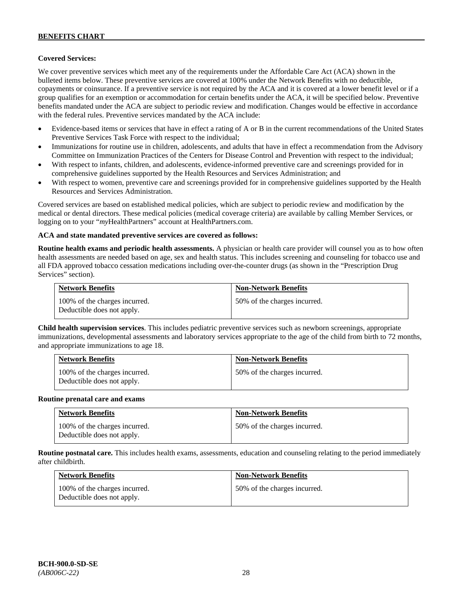### **Covered Services:**

We cover preventive services which meet any of the requirements under the Affordable Care Act (ACA) shown in the bulleted items below. These preventive services are covered at 100% under the Network Benefits with no deductible, copayments or coinsurance. If a preventive service is not required by the ACA and it is covered at a lower benefit level or if a group qualifies for an exemption or accommodation for certain benefits under the ACA, it will be specified below. Preventive benefits mandated under the ACA are subject to periodic review and modification. Changes would be effective in accordance with the federal rules. Preventive services mandated by the ACA include:

- Evidence-based items or services that have in effect a rating of A or B in the current recommendations of the United States Preventive Services Task Force with respect to the individual;
- Immunizations for routine use in children, adolescents, and adults that have in effect a recommendation from the Advisory Committee on Immunization Practices of the Centers for Disease Control and Prevention with respect to the individual;
- With respect to infants, children, and adolescents, evidence-informed preventive care and screenings provided for in comprehensive guidelines supported by the Health Resources and Services Administration; and
- With respect to women, preventive care and screenings provided for in comprehensive guidelines supported by the Health Resources and Services Administration.

Covered services are based on established medical policies, which are subject to periodic review and modification by the medical or dental directors. These medical policies (medical coverage criteria) are available by calling Member Services, or logging on to your "*my*HealthPartners" account at [HealthPartners.com.](http://www.healthpartners.com/)

#### **ACA and state mandated preventive services are covered as follows:**

**Routine health exams and periodic health assessments.** A physician or health care provider will counsel you as to how often health assessments are needed based on age, sex and health status. This includes screening and counseling for tobacco use and all FDA approved tobacco cessation medications including over-the-counter drugs (as shown in the "Prescription Drug Services" section).

| <b>Network Benefits</b>                                     | <b>Non-Network Benefits</b>  |
|-------------------------------------------------------------|------------------------------|
| 100% of the charges incurred.<br>Deductible does not apply. | 50% of the charges incurred. |

**Child health supervision services**. This includes pediatric preventive services such as newborn screenings, appropriate immunizations, developmental assessments and laboratory services appropriate to the age of the child from birth to 72 months, and appropriate immunizations to age 18.

| <b>Network Benefits</b>                                     | <b>Non-Network Benefits</b>  |
|-------------------------------------------------------------|------------------------------|
| 100% of the charges incurred.<br>Deductible does not apply. | 50% of the charges incurred. |

#### **Routine prenatal care and exams**

| <b>Network Benefits</b>                                     | <b>Non-Network Benefits</b>  |
|-------------------------------------------------------------|------------------------------|
| 100% of the charges incurred.<br>Deductible does not apply. | 50% of the charges incurred. |

**Routine postnatal care.** This includes health exams, assessments, education and counseling relating to the period immediately after childbirth.

| <b>Network Benefits</b>                                     | <b>Non-Network Benefits</b>  |
|-------------------------------------------------------------|------------------------------|
| 100% of the charges incurred.<br>Deductible does not apply. | 50% of the charges incurred. |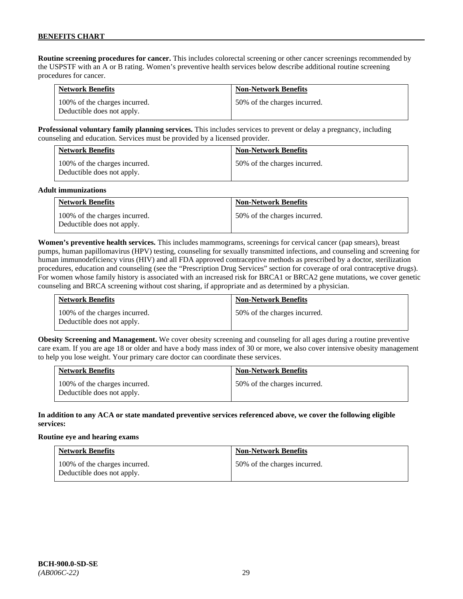**Routine screening procedures for cancer.** This includes colorectal screening or other cancer screenings recommended by the USPSTF with an A or B rating. Women's preventive health services below describe additional routine screening procedures for cancer.

| <b>Network Benefits</b>                                     | <b>Non-Network Benefits</b>  |
|-------------------------------------------------------------|------------------------------|
| 100% of the charges incurred.<br>Deductible does not apply. | 50% of the charges incurred. |

**Professional voluntary family planning services.** This includes services to prevent or delay a pregnancy, including counseling and education. Services must be provided by a licensed provider.

| <b>Network Benefits</b>                                     | <b>Non-Network Benefits</b>  |
|-------------------------------------------------------------|------------------------------|
| 100% of the charges incurred.<br>Deductible does not apply. | 50% of the charges incurred. |

#### **Adult immunizations**

| <b>Network Benefits</b>                                     | <b>Non-Network Benefits</b>  |
|-------------------------------------------------------------|------------------------------|
| 100% of the charges incurred.<br>Deductible does not apply. | 50% of the charges incurred. |

**Women's preventive health services.** This includes mammograms, screenings for cervical cancer (pap smears), breast pumps, human papillomavirus (HPV) testing, counseling for sexually transmitted infections, and counseling and screening for human immunodeficiency virus (HIV) and all FDA approved contraceptive methods as prescribed by a doctor, sterilization procedures, education and counseling (see the "Prescription Drug Services" section for coverage of oral contraceptive drugs). For women whose family history is associated with an increased risk for BRCA1 or BRCA2 gene mutations, we cover genetic counseling and BRCA screening without cost sharing, if appropriate and as determined by a physician.

| <b>Network Benefits</b>                                     | <b>Non-Network Benefits</b>  |
|-------------------------------------------------------------|------------------------------|
| 100% of the charges incurred.<br>Deductible does not apply. | 50% of the charges incurred. |

**Obesity Screening and Management.** We cover obesity screening and counseling for all ages during a routine preventive care exam. If you are age 18 or older and have a body mass index of 30 or more, we also cover intensive obesity management to help you lose weight. Your primary care doctor can coordinate these services.

| <b>Network Benefits</b>                                     | <b>Non-Network Benefits</b>  |
|-------------------------------------------------------------|------------------------------|
| 100% of the charges incurred.<br>Deductible does not apply. | 50% of the charges incurred. |

#### **In addition to any ACA or state mandated preventive services referenced above, we cover the following eligible services:**

#### **Routine eye and hearing exams**

| <b>Network Benefits</b>                                     | <b>Non-Network Benefits</b>  |
|-------------------------------------------------------------|------------------------------|
| 100% of the charges incurred.<br>Deductible does not apply. | 50% of the charges incurred. |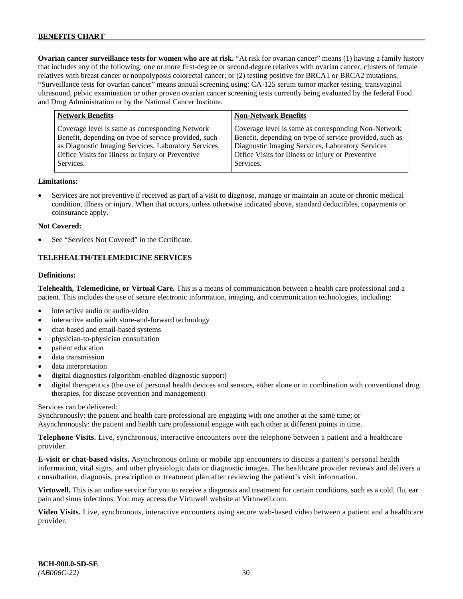**Ovarian cancer surveillance tests for women who are at risk.** "At risk for ovarian cancer" means (1) having a family history that includes any of the following: one or more first-degree or second-degree relatives with ovarian cancer, clusters of female relatives with breast cancer or nonpolyposis colorectal cancer; or (2) testing positive for BRCA1 or BRCA2 mutations. "Surveillance tests for ovarian cancer" means annual screening using: CA-125 serum tumor marker testing, transvaginal ultrasound, pelvic examination or other proven ovarian cancer screening tests currently being evaluated by the federal Food and Drug Administration or by the National Cancer Institute.

| <b>Network Benefits</b>                                                                                                                                                                                                          | <b>Non-Network Benefits</b>                                                                                                                                                                                                          |
|----------------------------------------------------------------------------------------------------------------------------------------------------------------------------------------------------------------------------------|--------------------------------------------------------------------------------------------------------------------------------------------------------------------------------------------------------------------------------------|
| Coverage level is same as corresponding Network<br>Benefit, depending on type of service provided, such<br>as Diagnostic Imaging Services, Laboratory Services<br>Office Visits for Illness or Injury or Preventive<br>Services. | Coverage level is same as corresponding Non-Network<br>Benefit, depending on type of service provided, such as<br>Diagnostic Imaging Services, Laboratory Services<br>Office Visits for Illness or Injury or Preventive<br>Services. |
|                                                                                                                                                                                                                                  |                                                                                                                                                                                                                                      |

#### **Limitations:**

• Services are not preventive if received as part of a visit to diagnose, manage or maintain an acute or chronic medical condition, illness or injury. When that occurs, unless otherwise indicated above, standard deductibles, copayments or coinsurance apply.

#### **Not Covered:**

See "Services Not Covered" in the Certificate.

#### **TELEHEALTH/TELEMEDICINE SERVICES**

#### **Definitions:**

**Telehealth, Telemedicine, or Virtual Care.** This is a means of communication between a health care professional and a patient. This includes the use of secure electronic information, imaging, and communication technologies, including:

- interactive audio or audio-video
- interactive audio with store-and-forward technology
- chat-based and email-based systems
- physician-to-physician consultation
- patient education
- data transmission
- data interpretation
- digital diagnostics (algorithm-enabled diagnostic support)
- digital therapeutics (the use of personal health devices and sensors, either alone or in combination with conventional drug therapies, for disease prevention and management)

#### Services can be delivered:

Synchronously: the patient and health care professional are engaging with one another at the same time; or Asynchronously: the patient and health care professional engage with each other at different points in time.

**Telephone Visits.** Live, synchronous, interactive encounters over the telephone between a patient and a healthcare provider.

**E-visit or chat-based visits.** Asynchronous online or mobile app encounters to discuss a patient's personal health information, vital signs, and other physiologic data or diagnostic images. The healthcare provider reviews and delivers a consultation, diagnosis, prescription or treatment plan after reviewing the patient's visit information.

**Virtuwell.** This is an online service for you to receive a diagnosis and treatment for certain conditions, such as a cold, flu, ear pain and sinus infections. You may access the Virtuwell website at [Virtuwell.com.](https://www.virtuwell.com/)

**Video Visits.** Live, synchronous, interactive encounters using secure web-based video between a patient and a healthcare provider.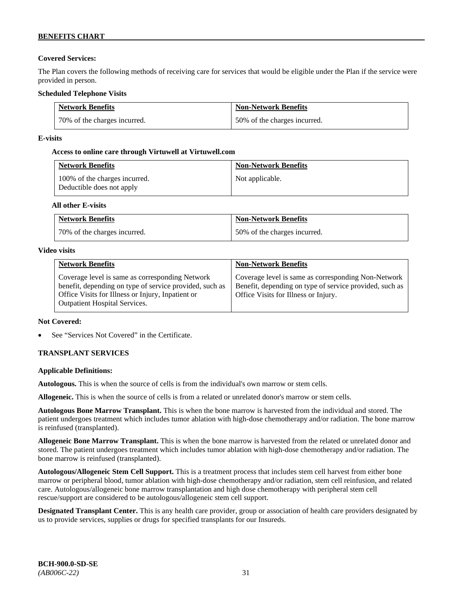# **Covered Services:**

The Plan covers the following methods of receiving care for services that would be eligible under the Plan if the service were provided in person.

## **Scheduled Telephone Visits**

| <b>Network Benefits</b>      | <b>Non-Network Benefits</b>  |
|------------------------------|------------------------------|
| 70% of the charges incurred. | 50% of the charges incurred. |

## **E-visits**

### **Access to online care through Virtuwell at [Virtuwell.com](http://www.virtuwell.com/)**

| <b>Network Benefits</b>                                    | <b>Non-Network Benefits</b> |
|------------------------------------------------------------|-----------------------------|
| 100% of the charges incurred.<br>Deductible does not apply | Not applicable.             |

### **All other E-visits**

| <b>Network Benefits</b>      | <b>Non-Network Benefits</b>  |
|------------------------------|------------------------------|
| 70% of the charges incurred. | 50% of the charges incurred. |

#### **Video visits**

| <b>Network Benefits</b>                                                                                                                                                                          | <b>Non-Network Benefits</b>                                                                                                                            |
|--------------------------------------------------------------------------------------------------------------------------------------------------------------------------------------------------|--------------------------------------------------------------------------------------------------------------------------------------------------------|
| Coverage level is same as corresponding Network<br>benefit, depending on type of service provided, such as<br>Office Visits for Illness or Injury, Inpatient or<br>Outpatient Hospital Services. | Coverage level is same as corresponding Non-Network<br>Benefit, depending on type of service provided, such as<br>Office Visits for Illness or Injury. |

### **Not Covered:**

See "Services Not Covered" in the Certificate.

# **TRANSPLANT SERVICES**

### **Applicable Definitions:**

**Autologous.** This is when the source of cells is from the individual's own marrow or stem cells.

**Allogeneic.** This is when the source of cells is from a related or unrelated donor's marrow or stem cells.

**Autologous Bone Marrow Transplant.** This is when the bone marrow is harvested from the individual and stored. The patient undergoes treatment which includes tumor ablation with high-dose chemotherapy and/or radiation. The bone marrow is reinfused (transplanted).

**Allogeneic Bone Marrow Transplant.** This is when the bone marrow is harvested from the related or unrelated donor and stored. The patient undergoes treatment which includes tumor ablation with high-dose chemotherapy and/or radiation. The bone marrow is reinfused (transplanted).

**Autologous/Allogeneic Stem Cell Support.** This is a treatment process that includes stem cell harvest from either bone marrow or peripheral blood, tumor ablation with high-dose chemotherapy and/or radiation, stem cell reinfusion, and related care. Autologous/allogeneic bone marrow transplantation and high dose chemotherapy with peripheral stem cell rescue/support are considered to be autologous/allogeneic stem cell support.

**Designated Transplant Center.** This is any health care provider, group or association of health care providers designated by us to provide services, supplies or drugs for specified transplants for our Insureds.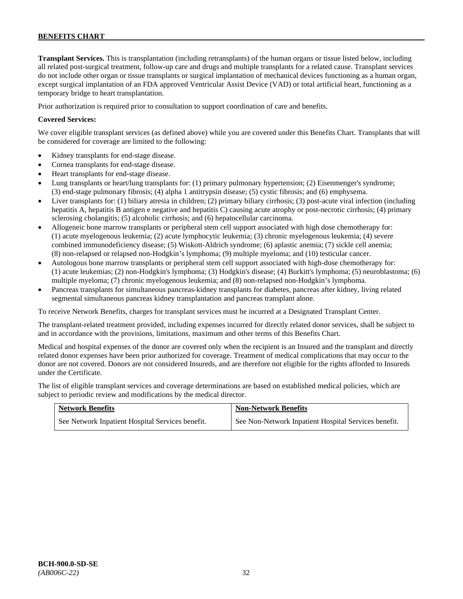**Transplant Services.** This is transplantation (including retransplants) of the human organs or tissue listed below, including all related post-surgical treatment, follow-up care and drugs and multiple transplants for a related cause. Transplant services do not include other organ or tissue transplants or surgical implantation of mechanical devices functioning as a human organ, except surgical implantation of an FDA approved Ventricular Assist Device (VAD) or total artificial heart, functioning as a temporary bridge to heart transplantation.

Prior authorization is required prior to consultation to support coordination of care and benefits.

### **Covered Services:**

We cover eligible transplant services (as defined above) while you are covered under this Benefits Chart. Transplants that will be considered for coverage are limited to the following:

- Kidney transplants for end-stage disease.
- Cornea transplants for end-stage disease.
- Heart transplants for end-stage disease.
- Lung transplants or heart/lung transplants for: (1) primary pulmonary hypertension; (2) Eisenmenger's syndrome; (3) end-stage pulmonary fibrosis; (4) alpha 1 antitrypsin disease; (5) cystic fibrosis; and (6) emphysema.
- Liver transplants for: (1) biliary atresia in children; (2) primary biliary cirrhosis; (3) post-acute viral infection (including hepatitis A, hepatitis B antigen e negative and hepatitis C) causing acute atrophy or post-necrotic cirrhosis; (4) primary sclerosing cholangitis; (5) alcoholic cirrhosis; and (6) hepatocellular carcinoma.
- Allogeneic bone marrow transplants or peripheral stem cell support associated with high dose chemotherapy for: (1) acute myelogenous leukemia; (2) acute lymphocytic leukemia; (3) chronic myelogenous leukemia; (4) severe combined immunodeficiency disease; (5) Wiskott-Aldrich syndrome; (6) aplastic anemia; (7) sickle cell anemia; (8) non-relapsed or relapsed non-Hodgkin's lymphoma; (9) multiple myeloma; and (10) testicular cancer.
- Autologous bone marrow transplants or peripheral stem cell support associated with high-dose chemotherapy for: (1) acute leukemias; (2) non-Hodgkin's lymphoma; (3) Hodgkin's disease; (4) Burkitt's lymphoma; (5) neuroblastoma; (6) multiple myeloma; (7) chronic myelogenous leukemia; and (8) non-relapsed non-Hodgkin's lymphoma.
- Pancreas transplants for simultaneous pancreas-kidney transplants for diabetes, pancreas after kidney, living related segmental simultaneous pancreas kidney transplantation and pancreas transplant alone.

To receive Network Benefits, charges for transplant services must be incurred at a Designated Transplant Center.

The transplant-related treatment provided, including expenses incurred for directly related donor services, shall be subject to and in accordance with the provisions, limitations, maximum and other terms of this Benefits Chart.

Medical and hospital expenses of the donor are covered only when the recipient is an Insured and the transplant and directly related donor expenses have been prior authorized for coverage. Treatment of medical complications that may occur to the donor are not covered. Donors are not considered Insureds, and are therefore not eligible for the rights afforded to Insureds under the Certificate.

The list of eligible transplant services and coverage determinations are based on established medical policies, which are subject to periodic review and modifications by the medical director.

| <b>Network Benefits</b>                          | <b>Non-Network Benefits</b>                          |
|--------------------------------------------------|------------------------------------------------------|
| See Network Inpatient Hospital Services benefit. | See Non-Network Inpatient Hospital Services benefit. |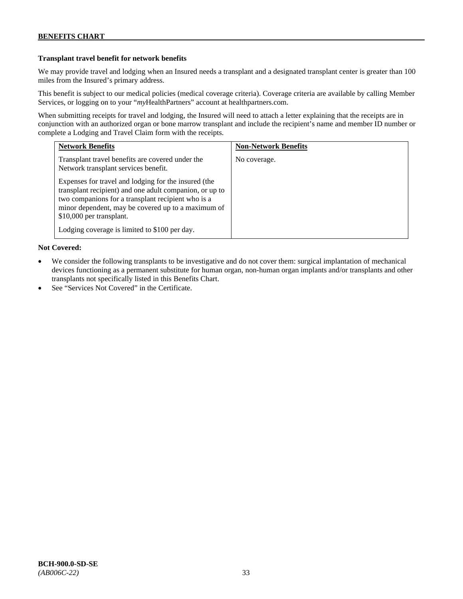## **Transplant travel benefit for network benefits**

We may provide travel and lodging when an Insured needs a transplant and a designated transplant center is greater than 100 miles from the Insured's primary address.

This benefit is subject to our medical policies (medical coverage criteria). Coverage criteria are available by calling Member Services, or logging on to your "*my*HealthPartners" account a[t healthpartners.com.](http://www.healthpartners.com/)

When submitting receipts for travel and lodging, the Insured will need to attach a letter explaining that the receipts are in conjunction with an authorized organ or bone marrow transplant and include the recipient's name and member ID number or complete a Lodging and Travel Claim form with the receipts.

| <b>Network Benefits</b>                                                                                                                                                                                                                                 | <b>Non-Network Benefits</b> |
|---------------------------------------------------------------------------------------------------------------------------------------------------------------------------------------------------------------------------------------------------------|-----------------------------|
| Transplant travel benefits are covered under the<br>Network transplant services benefit.                                                                                                                                                                | No coverage.                |
| Expenses for travel and lodging for the insured (the<br>transplant recipient) and one adult companion, or up to<br>two companions for a transplant recipient who is a<br>minor dependent, may be covered up to a maximum of<br>\$10,000 per transplant. |                             |
| Lodging coverage is limited to \$100 per day.                                                                                                                                                                                                           |                             |

# **Not Covered:**

- We consider the following transplants to be investigative and do not cover them: surgical implantation of mechanical devices functioning as a permanent substitute for human organ, non-human organ implants and/or transplants and other transplants not specifically listed in this Benefits Chart.
- See "Services Not Covered" in the Certificate.